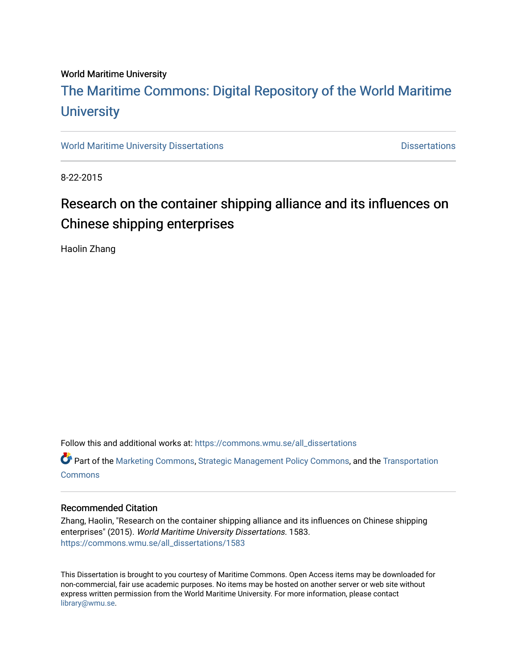#### World Maritime University

### [The Maritime Commons: Digital Repository of the World Maritime](https://commons.wmu.se/)  **University**

[World Maritime University Dissertations](https://commons.wmu.se/all_dissertations) **Distributions** [Dissertations](https://commons.wmu.se/dissertations) Dissertations

8-22-2015

### Research on the container shipping alliance and its influences on Chinese shipping enterprises

Haolin Zhang

Follow this and additional works at: [https://commons.wmu.se/all\\_dissertations](https://commons.wmu.se/all_dissertations?utm_source=commons.wmu.se%2Fall_dissertations%2F1583&utm_medium=PDF&utm_campaign=PDFCoverPages) 

Part of the [Marketing Commons](http://network.bepress.com/hgg/discipline/638?utm_source=commons.wmu.se%2Fall_dissertations%2F1583&utm_medium=PDF&utm_campaign=PDFCoverPages), [Strategic Management Policy Commons,](http://network.bepress.com/hgg/discipline/642?utm_source=commons.wmu.se%2Fall_dissertations%2F1583&utm_medium=PDF&utm_campaign=PDFCoverPages) and the [Transportation](http://network.bepress.com/hgg/discipline/1068?utm_source=commons.wmu.se%2Fall_dissertations%2F1583&utm_medium=PDF&utm_campaign=PDFCoverPages) **[Commons](http://network.bepress.com/hgg/discipline/1068?utm_source=commons.wmu.se%2Fall_dissertations%2F1583&utm_medium=PDF&utm_campaign=PDFCoverPages)** 

#### Recommended Citation

Zhang, Haolin, "Research on the container shipping alliance and its influences on Chinese shipping enterprises" (2015). World Maritime University Dissertations. 1583. [https://commons.wmu.se/all\\_dissertations/1583](https://commons.wmu.se/all_dissertations/1583?utm_source=commons.wmu.se%2Fall_dissertations%2F1583&utm_medium=PDF&utm_campaign=PDFCoverPages)

This Dissertation is brought to you courtesy of Maritime Commons. Open Access items may be downloaded for non-commercial, fair use academic purposes. No items may be hosted on another server or web site without express written permission from the World Maritime University. For more information, please contact [library@wmu.se](mailto:library@wmu.edu).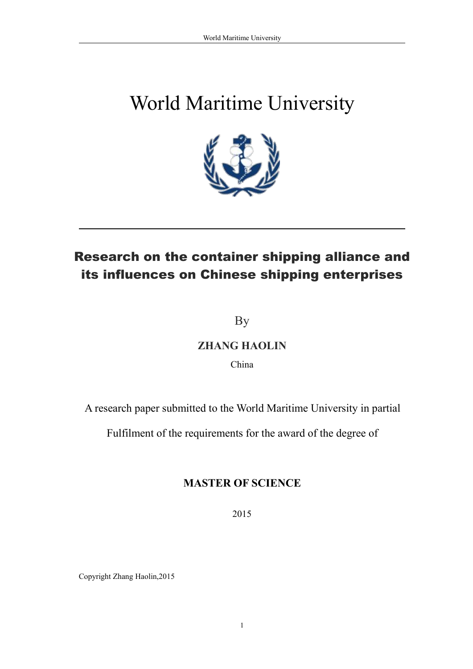# World Maritime University



## Research on the container shipping alliance and its influences on Chinese shipping enterprises

By

### **ZHANG HAOLIN**

China

A research paper submitted to the World Maritime University in partial

Fulfilment of the requirements for the award of the degree of

### **MASTER OF SCIENCE**

2015

Copyright Zhang Haolin,2015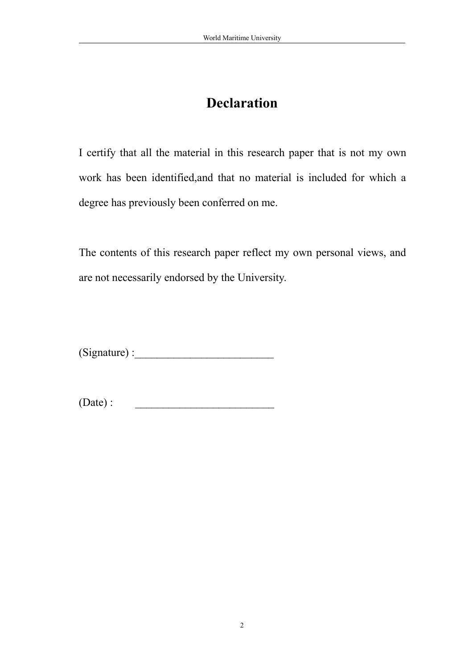### <span id="page-2-0"></span>**Declaration**

I certify that all the material in this research paper that is not my own work has been identified,and that no material is included for which a degree has previously been conferred on me.

The contents of this research paper reflect my own personal views, and are not necessarily endorsed by the University.

 $(Signature)$ :

 $(Date)$ :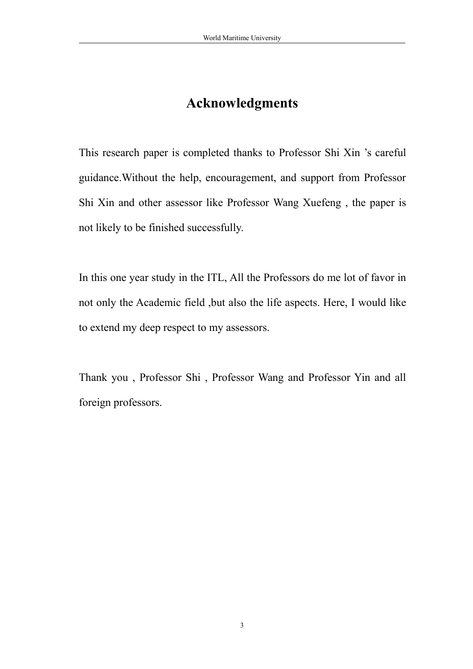### <span id="page-3-0"></span>**Acknowledgments**

This research paper is completed thanks to Professor Shi Xin 's careful guidance.Without the help, encouragement, and support from Professor Shi Xin and other assessor like Professor Wang Xuefeng , the paper is not likely to be finished successfully.

In this one year study in the ITL, All the Professors do me lot of favor in not only the Academic field ,but also the life aspects. Here, I would like to extend my deep respect to my assessors.

Thank you , Professor Shi , Professor Wang and Professor Yin and all foreign professors.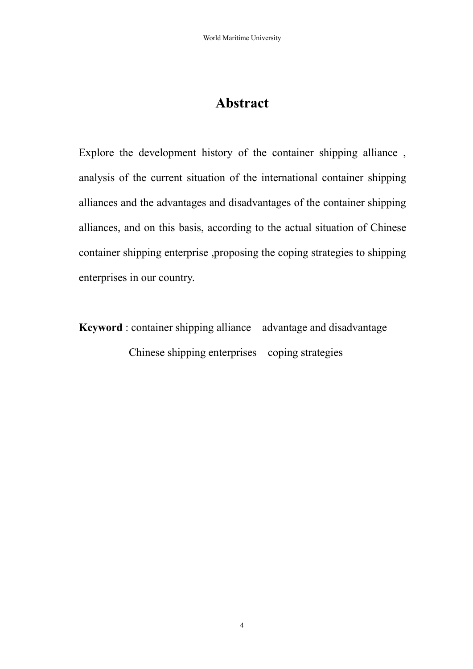### <span id="page-4-0"></span>**Abstract**

Explore the development history of the container shipping alliance , analysis of the current situation of the international container shipping alliances and the advantages and disadvantages of the container shipping alliances, and on this basis, according to the actual situation of Chinese container shipping enterprise ,proposing the coping strategies to shipping enterprises in our country.

**Keyword** : container shipping alliance advantage and disadvantage Chinese shipping enterprises coping strategies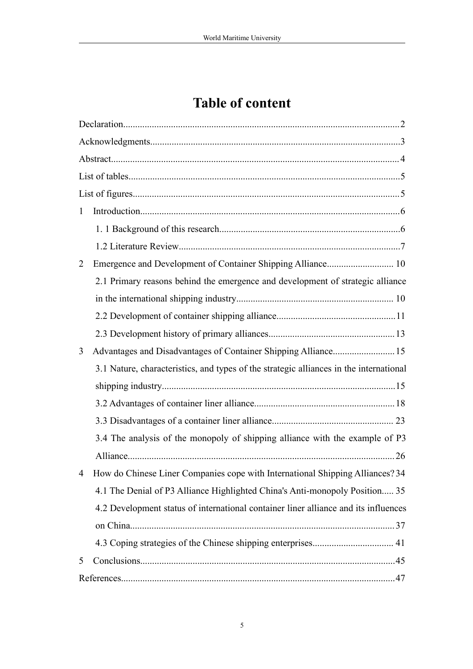## **Table of content**

| $\mathbf{1}$ |                                                                                        |  |  |
|--------------|----------------------------------------------------------------------------------------|--|--|
|              |                                                                                        |  |  |
|              |                                                                                        |  |  |
| 2            |                                                                                        |  |  |
|              | 2.1 Primary reasons behind the emergence and development of strategic alliance         |  |  |
|              |                                                                                        |  |  |
|              |                                                                                        |  |  |
|              |                                                                                        |  |  |
| 3            | Advantages and Disadvantages of Container Shipping Alliance 15                         |  |  |
|              | 3.1 Nature, characteristics, and types of the strategic alliances in the international |  |  |
|              |                                                                                        |  |  |
|              |                                                                                        |  |  |
|              |                                                                                        |  |  |
|              | 3.4 The analysis of the monopoly of shipping alliance with the example of P3           |  |  |
|              |                                                                                        |  |  |
| 4            | How do Chinese Liner Companies cope with International Shipping Alliances? 34          |  |  |
|              | 4.1 The Denial of P3 Alliance Highlighted China's Anti-monopoly Position 35            |  |  |
|              | 4.2 Development status of international container liner alliance and its influences    |  |  |
|              |                                                                                        |  |  |
|              |                                                                                        |  |  |
| 5            |                                                                                        |  |  |
|              |                                                                                        |  |  |
|              |                                                                                        |  |  |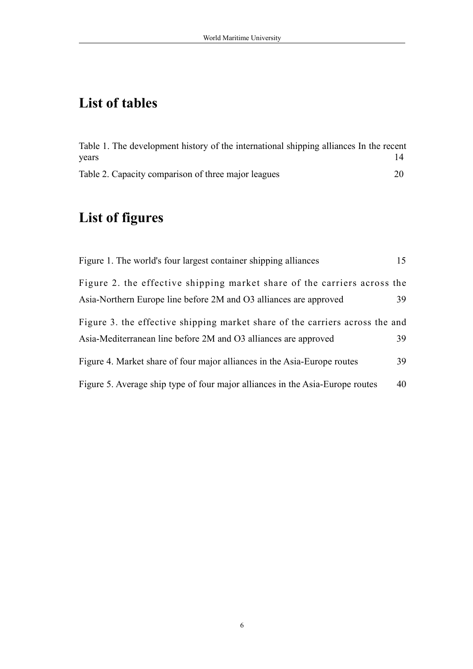### <span id="page-6-0"></span>**List of tables**

### **List of figures**

| Table 1. The development history of the international shipping alliances In the recent<br>years | 14 |
|-------------------------------------------------------------------------------------------------|----|
| Table 2. Capacity comparison of three major leagues                                             | 20 |
| List of figures                                                                                 |    |
| Figure 1. The world's four largest container shipping alliances                                 | 15 |
| Figure 2. the effective shipping market share of the carriers across the                        |    |
| Asia-Northern Europe line before 2M and O3 alliances are approved                               | 39 |
| Figure 3. the effective shipping market share of the carriers across the and                    |    |
| Asia-Mediterranean line before 2M and O3 alliances are approved                                 | 39 |
| Figure 4. Market share of four major alliances in the Asia-Europe routes                        | 39 |
| Figure 5. Average ship type of four major alliances in the Asia-Europe routes                   | 40 |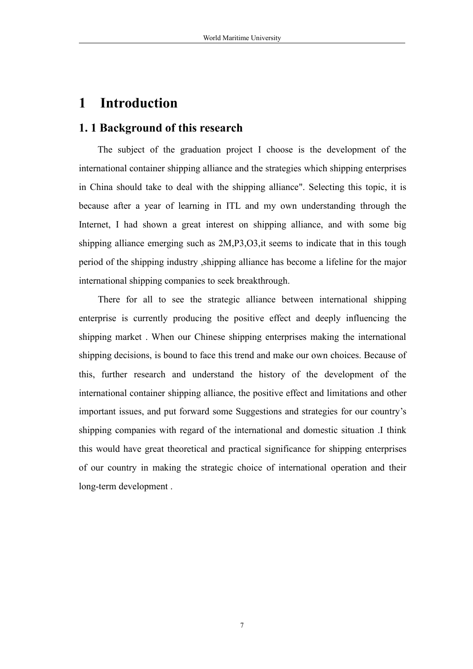### <span id="page-7-0"></span>**1 Introduction**

#### **1. 1 Background of this research**

The subject of the graduation project I choose is the development of the international container shipping alliance and the strategies which shipping enterprises in China should take to deal with the shipping alliance". Selecting this topic, it is because after a year of learning in ITL and my own understanding through the Internet, I had shown a great interest on shipping alliance, and with some big shipping alliance emerging such as 2M,P3,O3,it seems to indicate that in this tough period of the shipping industry ,shipping alliance has become a lifeline for the major international shipping companies to seek breakthrough.

There for all to see the strategic alliance between international shipping enterprise is currently producing the positive effect and deeply influencing the shipping market . When our Chinese shipping enterprises making the international shipping decisions, is bound to face this trend and make our own choices. Because of this, further research and understand the history of the development of the international container shipping alliance, the positive effect and limitations and other important issues, and put forward some Suggestions and strategies for our country's shipping companies with regard of the international and domestic situation .I think this would have great theoretical and practical significance for shipping enterprises of our country in making the strategic choice of international operation and their long-term development .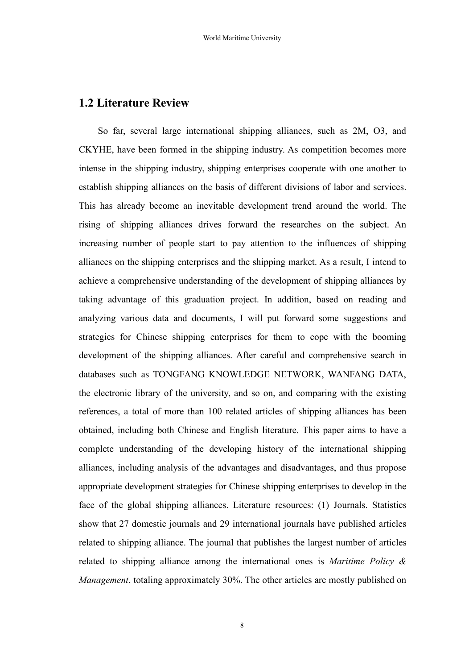#### <span id="page-8-0"></span>**1.2 Literature Review**

So far, several large international shipping alliances, such as 2M, O3, and CKYHE, have been formed in the shipping industry. As competition becomes more intense in the shipping industry, shipping enterprises cooperate with one another to establish shipping alliances on the basis of different divisions of labor and services. This has already become an inevitable development trend around the world.The rising of shipping alliances drives forward the researches on the subject.An increasing number of people start to pay attention to the influences of shipping alliances on the shipping enterprises and the shipping market. As a result, I intend to achieve a comprehensive understanding of the development of shipping alliances by taking advantage of this graduation project. In addition, based on reading and analyzing various data and documents, I will put forward some suggestions and strategies for Chinese shipping enterprises for them to cope with the booming development of the shipping alliances. After careful and comprehensive search in databases such as TONGFANG KNOWLEDGE NETWORK, WANFANG DATA, the electronic library of the university, and so on, and comparing with the existing references, a total of more than 100 related articles of shipping alliances has been obtained, including both Chinese and English literature. This paper aims to have a complete understanding of the developing history of the international shipping alliances, including analysis of the advantages and disadvantages, and thus propose appropriate development strategies for Chinese shipping enterprises to develop in the face of the global shipping alliances. Literature resources: (1) Journals. Statistics show that 27 domestic journals and 29 international journals have published articles related to shipping alliance. The journal that publishes the largest number of articles related to shipping alliance among the international ones is *Maritime Policy & Management*, totaling approximately 30%. The other articles are mostly published on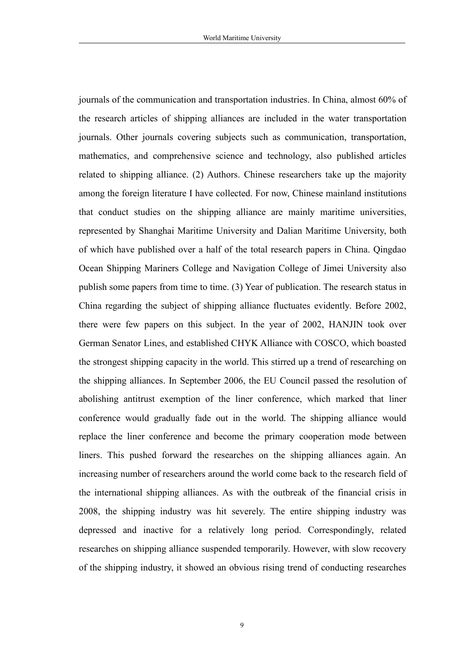journals of the communication and transportation industries. In China, almost 60% of the research articles of shipping alliances are included in the water transportation journals. Other journals covering subjects such as communication, transportation, mathematics, and comprehensive science and technology, also published articles related to shipping alliance. (2) Authors. Chinese researchers take up the majority among the foreign literature I have collected. For now, Chinese mainland institutions that conduct studies on the shipping alliance are mainly maritime universities, represented by Shanghai Maritime University and Dalian Maritime University, both of which have published over a half of the total research papers in China. Qingdao Ocean Shipping Mariners College and Navigation College of Jimei University also publish some papers from time to time. (3) Year of publication. The research status in China regarding the subject of shipping alliance fluctuates evidently. Before 2002, there were few papers on this subject. In the year of 2002, HANJIN took over German Senator Lines, and established CHYK Alliance with COSCO, which boasted the strongest shipping capacity in the world. This stirred up a trend of researching on the shipping alliances. In September 2006, the EU Council passed the resolution of abolishing antitrust exemption of the liner conference, which marked that liner conference would gradually fade out in the world. The shipping alliance would replace the liner conference and become the primary cooperation mode between liners. This pushed forward the researches on the shipping alliances again. An increasing number of researchers around the world come back to the research field of the international shipping alliances. As with the outbreak of the financial crisis in 2008, the shipping industry was hit severely. The entire shipping industry was depressed and inactive for a relatively long period. Correspondingly, related researches on shipping alliance suspended temporarily. However, with slow recovery of the shipping industry, it showed an obvious rising trend of conducting researches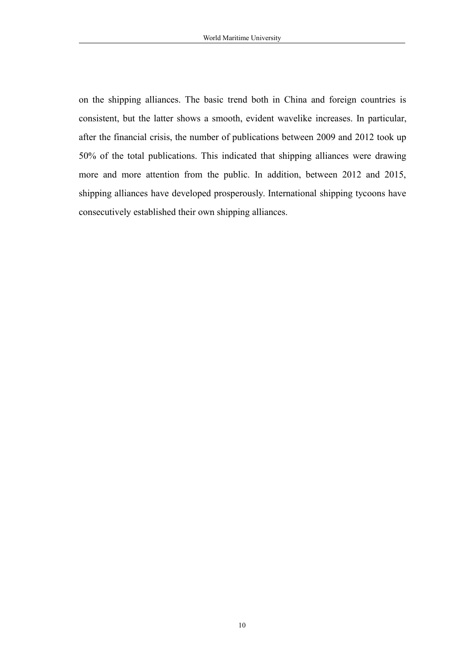on the shipping alliances. The basic trend both in China and foreign countries is consistent, but the latter shows a smooth, evident wavelike increases. In particular, after the financial crisis, the number of publications between 2009 and 2012 took up 50% of the total publications. This indicated that shipping alliances were drawing more and more attention from the public. In addition, between 2012 and 2015, shipping alliances have developed prosperously. International shipping tycoons have consecutively established their own shipping alliances.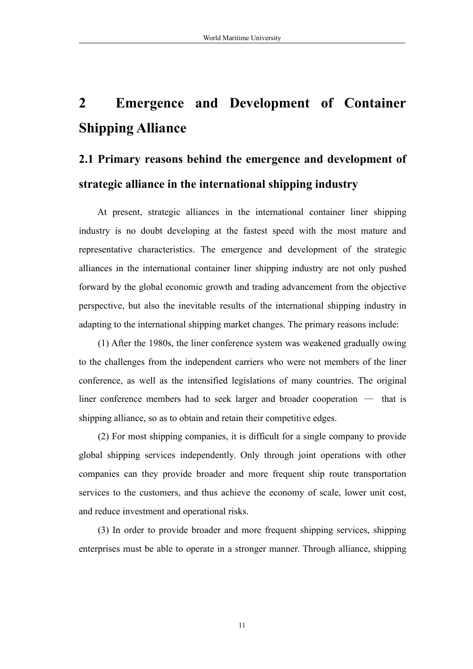## <span id="page-11-0"></span>**2 Emergence and Development of Container Shipping Alliance**

## **2.1 Primary reasons behind the emergence and development of strategic alliance in the international shipping industry**

At present, strategic alliances in the international container liner shipping industry is no doubt developing at the fastest speed with the most mature and representative characteristics. The emergence and development of the strategic alliances in the international container liner shipping industry are not only pushed forward by the global economic growth and trading advancement from the objective perspective, but also the inevitable results of the international shipping industry in adapting to the international shipping market changes. The primary reasons include:

(1) After the 1980s, the linerconference system was weakened gradually owing to the challenges from the independent carriers who were not members of the liner conference, as well as the intensified legislations of many countries. The original liner conference members had to seek larger and broader cooperation — that is shipping alliance, so as to obtain and retain their competitive edges.

(2) For most shipping companies, it is difficult for a single company to provide global shipping services independently. Only through joint operations with other companies can they provide broader and more frequent ship route transportation services to the customers, and thus achieve the economy of scale, lower unit cost, and reduce investment and operational risks.

(3) In order to provide broader and more frequent shipping services, shipping enterprises must be able to operate in a stronger manner. Through alliance, shipping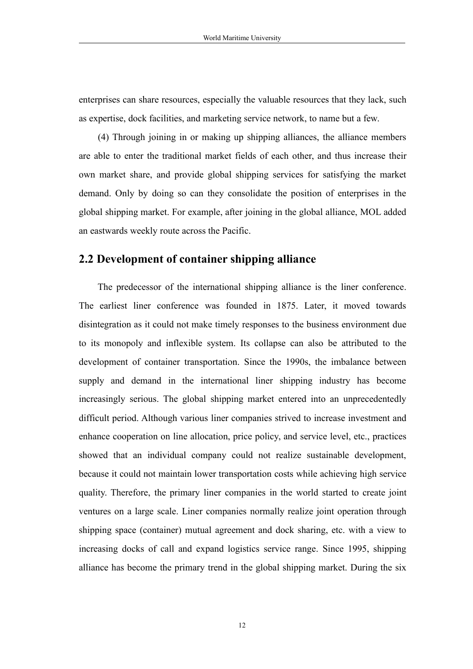<span id="page-12-0"></span>enterprises can share resources, especially the valuable resources that they lack, such as expertise, dock facilities, and marketing service network, to name but a few.

(4) Through joining in or making up shipping alliances, the alliance members are able to enter the traditional market fields of each other, and thus increase their own market share, and provide global shipping services for satisfying the market demand. Only by doing so can they consolidate the position of enterprises in the global shipping market. For example, after joining in the global alliance, MOL added an eastwards weekly route across the Pacific.

#### **2.2 Development of container shipping alliance**

The predecessor of the international shipping alliance is the liner conference. The earliest liner conference was founded in 1875. Later, it moved towards disintegration as it could not make timely responses to the business environment due to its monopoly and inflexible system. Its collapse can also be attributed to the development of container transportation. Since the 1990s, the imbalance between supply and demand in the international liner shipping industry has become increasingly serious. The global shipping market entered into an unprecedentedly difficult period. Although various liner companies strived to increase investment and enhance cooperation on line allocation, price policy, and service level, etc., practices showed that an individual company could not realize sustainable development, because it could not maintain lower transportation costs while achieving high service quality. Therefore, the primary liner companies in the world started to create joint ventures on a large scale. Liner companies normally realize joint operation through shipping space (container) mutual agreement and dock sharing, etc. with a view to increasing docks of call and expand logistics service range. Since 1995, shipping alliance has become the primary trend in the global shipping market. During the six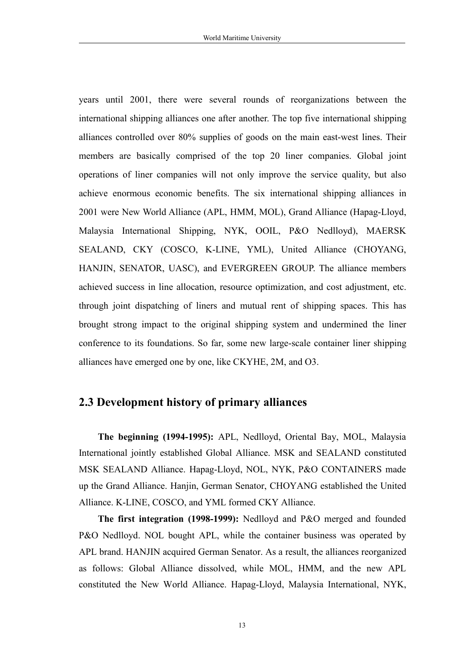<span id="page-13-0"></span>years until 2001, there were several rounds of reorganizations between the international shipping alliances one after another. The top five international shipping alliances controlled over 80% supplies of goods on the main east-west lines. Their members are basically comprised of the top 20 liner companies. Global joint operations of liner companies will not only improve the service quality, but also achieve enormous economic benefits. The six international shipping alliances in 2001 were New World Alliance (APL, HMM, MOL), Grand Alliance (Hapag-Lloyd, Malaysia International Shipping, NYK, OOIL, P&O Nedlloyd), MAERSK SEALAND, CKY (COSCO, K-LINE, YML), United Alliance (CHOYANG, HANJIN, SENATOR, UASC), and EVERGREEN GROUP. The alliance members achieved success in line allocation, resource optimization, and cost adjustment, etc. through joint dispatching of liners and mutual rent of shipping spaces. This has brought strong impact to the original shipping system and undermined the liner conference to its foundations. So far, some new large-scale container liner shipping alliances have emerged one by one, like CKYHE, 2M, and O3.

#### **2.3 Development history of primary alliances**

**The beginning (1994-1995):** APL, Nedlloyd, Oriental Bay, MOL, Malaysia International jointly established Global Alliance. MSK and SEALAND constituted MSK SEALAND Alliance. Hapag-Lloyd, NOL, NYK, P&O CONTAINERS made up the Grand Alliance. Hanjin, German Senator, CHOYANG established the United Alliance. K-LINE, COSCO, and YML formed CKY Alliance.

**The first integration (1998-1999):** Nedlloyd and P&O merged and founded P&O Nedlloyd. NOL bought APL, while the container business was operated by APL brand. HANJIN acquired German Senator. As a result, the alliances reorganized as follows: Global Alliance dissolved, while MOL, HMM, and the new APL constituted the New World Alliance. Hapag-Lloyd, Malaysia International, NYK,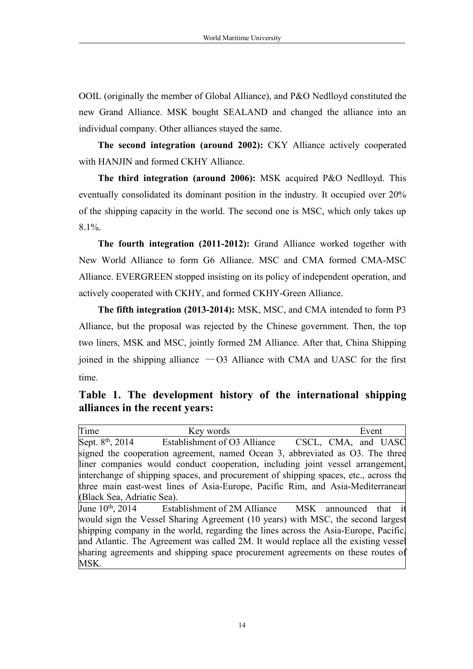OOIL (originally the member of Global Alliance), and P&O Nedlloyd constituted the new Grand Alliance. MSK bought SEALAND and changed the alliance into an individual company. Other alliances stayed the same.

**The second integration (around 2002):** CKY Alliance actively cooperated with HANJIN and formed CKHY Alliance.

**The third integration (around 2006):** MSK acquired P&O Nedlloyd. This eventually consolidated its dominant position in the industry. It occupied over 20% of the shipping capacity in the world. The second one is MSC, which only takes up  $8.1\%$ .

**The fourth integration (2011-2012):** Grand Alliance worked together with New World Alliance to form G6 Alliance. MSC and CMA formed CMA-MSC Alliance. EVERGREEN stopped insisting on its policy of independent operation, and actively cooperated with CKHY, and formed CKHY-Green Alliance.

**The fifth integration (2013-2014):** MSK, MSC, and CMA intended to form P3 Alliance, but the proposal was rejected by the Chinese government. Then, the top two liners, MSK and MSC, jointly formed 2M Alliance. After that, China Shipping joined in the shipping alliance  $-03$  Alliance with CMA and UASC for the first time.

**Table 1. The development history of the international shipping alliances in the recent years:**

Time Key words Event Sept. 8<sup>th</sup>, 2014 Establish Establishment of O3 Alliance CSCL, CMA, and UASC signed the cooperation agreement, named Ocean 3, abbreviated as O3. The three liner companies would conduct cooperation, including joint vessel arrangement, interchange of shipping spaces, and procurement of shipping spaces, etc., across the three main east-west lines of Asia-Europe, Pacific Rim, and Asia-Mediterranean (Black Sea, Adriatic Sea). June  $10^{th}$ ,  $2014$ Establishment of 2M Alliance MSK announced that would sign the Vessel Sharing Agreement (10 years) with MSC, the second largest shipping company in the world, regarding the lines across the Asia-Europe, Pacific, and Atlantic. The Agreement was called 2M. It would replace all the existing vessel sharing agreements and shipping space procurement agreements on these routes of MSK.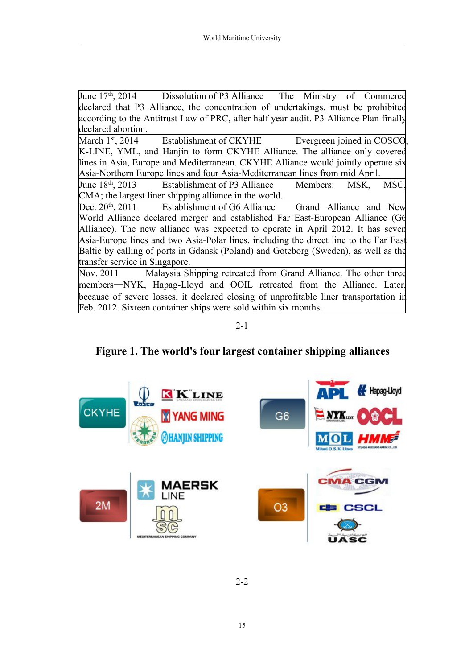| June $17th$ , 2014 Dissolution of P3 Alliance The Ministry of Commerce                 |
|----------------------------------------------------------------------------------------|
| declared that P3 Alliance, the concentration of undertakings, must be prohibited       |
| according to the Antitrust Law of PRC, after half year audit. P3 Alliance Plan finally |
| declared abortion.                                                                     |
| March 1 <sup>st</sup> , 2014 Establishment of CKYHE Evergreen joined in COSCO,         |
| K-LINE, YML, and Hanjin to form CKYHE Alliance. The alliance only covered              |
| lines in Asia, Europe and Mediterranean. CKYHE Alliance would jointly operate six      |
| Asia-Northern Europe lines and four Asia-Mediterranean lines from mid April.           |
| $June 18th, 2013$ Establishment of P3 Alliance<br>Members: MSK, MSC.                   |
| CMA; the largest liner shipping alliance in the world.                                 |
| $[Dec. 20th, 2011]$ Establishment of G6 Alliance Grand Alliance and New                |
| World Alliance declared merger and established Far East-European Alliance (G6          |
| Alliance). The new alliance was expected to operate in April 2012. It has seven        |
| Asia-Europe lines and two Asia-Polar lines, including the direct line to the Far East  |
| Baltic by calling of ports in Gdansk (Poland) and Goteborg (Sweden), as well as the    |
| transfer service in Singapore.                                                         |
| Nov. 2011 Malaysia Shipping retreated from Grand Alliance. The other three             |
| members—NYK, Hapag-Lloyd and OOIL retreated from the Alliance. Later.                  |
| because of severe losses, it declared closing of unprofitable liner transportation in  |
| Feb. 2012. Sixteen container ships were sold within six months.                        |

2-1

**Figure 1. The world's four largest container shipping alliances**



2-2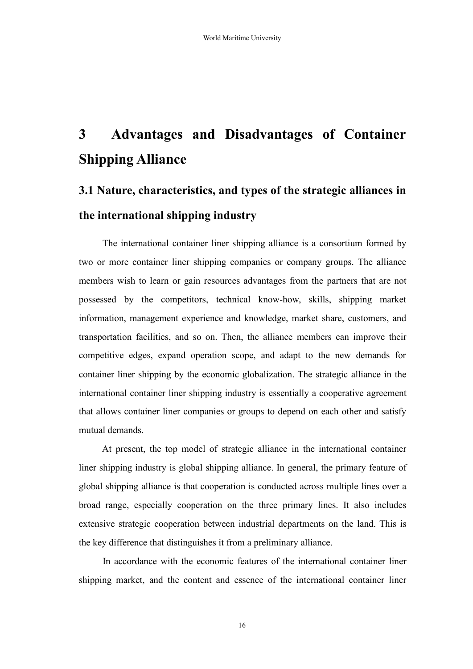## <span id="page-16-0"></span>**3 Advantages and Disadvantages of Container Shipping Alliance**

## **3.1 Nature, characteristics, and types ofthe strategic alliances in the international shipping industry**

The international container liner shipping alliance is a consortium formed by two or more container liner shipping companies or company groups. The alliance members wish to learn or gain resources advantages from the partners that are not possessed by the competitors, technical know-how, skills, shipping market information, management experience and knowledge, market share, customers, and transportation facilities, and so on. Then, the alliance members can improve their competitive edges, expand operation scope, and adapt to the new demands for container liner shipping by the economic globalization. The strategic alliance in the international container liner shipping industry is essentially a cooperative agreement that allows container liner companies or groups to depend on each other and satisfy mutual demands.

At present, the top model of strategic alliance in the international container liner shipping industry is global shipping alliance. In general, the primary feature of global shipping alliance is that cooperation is conducted across multiple lines over a broad range, especially cooperation on the three primary lines. It also includes extensive strategic cooperation between industrial departments on the land. This is the key difference that distinguishes it from a preliminary alliance.

In accordance with the economic features of the international container liner shipping market, and the content and essence of the international container liner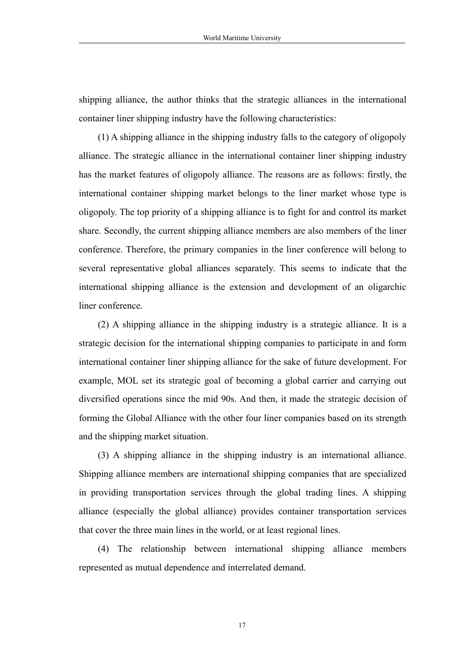shipping alliance, the author thinks that the strategic alliances in the international container liner shipping industry have the following characteristics:

(1) A shipping alliance in the shipping industry falls to the category of oligopoly alliance. The strategic alliance in the international container liner shipping industry has the market features of oligopoly alliance. The reasons are as follows: firstly, the international container shipping market belongs to the liner market whose type is oligopoly. The top priority of a shipping alliance is to fight for and control its market share. Secondly, the current shipping alliance members are also members of the liner conference. Therefore, the primary companies in the liner conference will belong to several representative global alliances separately. This seems to indicate that the international shipping alliance is the extension and development of an oligarchic liner conference.

(2) A shipping alliance in the shipping industry is a strategic alliance. It is a strategic decision for the international shipping companies to participate in and form international container liner shipping alliance for the sake of future development. For example, MOL set its strategic goal of becoming a global carrier and carrying out diversified operations since the mid 90s. And then, it made the strategic decision of forming the Global Alliance with the other four liner companies based on its strength and the shipping market situation.

(3) A shipping alliance in the shipping industry is an international alliance. Shipping alliance members are international shipping companies that are specialized in providing transportation services through the global trading lines. A shipping alliance (especially the global alliance) provides container transportation services that cover the three main lines in the world, or at least regional lines.

(4) The relationship between international shipping alliance members represented as mutual dependence and interrelated demand.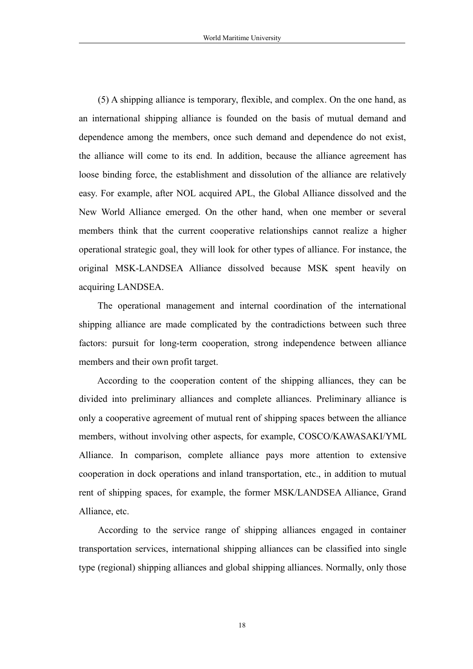(5) A shipping alliance istemporary, flexible, and complex. On the one hand, as an international shipping alliance is founded on the basis of mutual demand and dependence among the members, once such demand and dependence do not exist, the alliance will come to its end. In addition, because the alliance agreement has loose binding force, the establishment and dissolution of the alliance are relatively easy. For example, after NOL acquired APL, the Global Alliance dissolved and the New World Alliance emerged. On the other hand, when one member or several members think that the current cooperative relationships cannot realize a higher operational strategic goal, they will look for other types of alliance. For instance, the original MSK-LANDSEA Alliance dissolved because MSK spent heavily on acquiring LANDSEA.

The operational management and internal coordination of the international shipping alliance are made complicated by the contradictions between such three factors: pursuit for long-term cooperation, strong independence between alliance members and their own profit target.

According to the cooperation content of the shipping alliances, they can be divided into preliminary alliances and complete alliances. Preliminary alliance is only a cooperative agreement of mutual rent of shipping spaces between the alliance members, without involving other aspects, for example, COSCO/KAWASAKI/YML Alliance. In comparison, complete alliance pays more attention to extensive cooperation in dock operations and inland transportation, etc., in addition to mutual rent of shipping spaces, for example, the former MSK/LANDSEA Alliance, Grand Alliance, etc.

According to the service range of shipping alliances engaged in container transportation services, international shipping alliances can be classified into single type (regional) shipping alliances and global shipping alliances. Normally, only those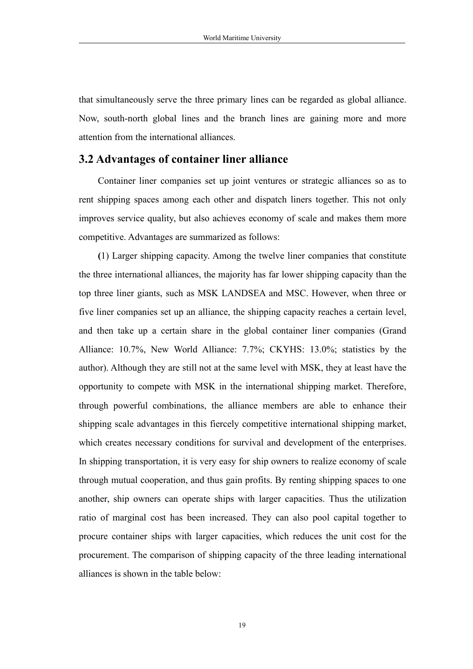<span id="page-19-0"></span>that simultaneously serve the three primary lines can be regarded as global alliance. Now, south-north global lines and the branch lines are gaining more and more attention from the international alliances.

#### **3.2 Advantages ofcontainer liner alliance**

Container liner companies set up joint ventures or strategic alliances so as to rent shipping spaces among each other and dispatch liners together. This not only improves service quality, but also achieves economy of scale and makes them more competitive. Advantages are summarized as follows:

**(**1) Larger shipping capacity. Among the twelve liner companies that constitute the three international alliances, the majority has far lower shipping capacity than the top three liner giants, such as MSK LANDSEA and MSC. However, when three or five liner companies set up an alliance, the shipping capacity reaches a certain level, and then take up a certain share in the global container liner companies (Grand Alliance: 10.7%, New World Alliance: 7.7%; CKYHS: 13.0%; statistics by the author). Although they are still not at the same level with MSK, they at least have the opportunity to compete with MSK in the international shipping market. Therefore, through powerful combinations, the alliance members are able to enhance their shipping scale advantages in this fiercely competitive international shipping market, which creates necessary conditions for survival and development of the enterprises. In shipping transportation, it is very easy for ship owners to realize economy of scale through mutual cooperation, and thus gain profits. By renting shipping spaces to one another, ship owners can operate ships with larger capacities. Thus the utilization ratio of marginal cost has been increased. They can also pool capital together to procure container ships with larger capacities, which reduces the unit cost for the procurement. The comparison of shipping capacity of the three leading international alliances is shown in the table below: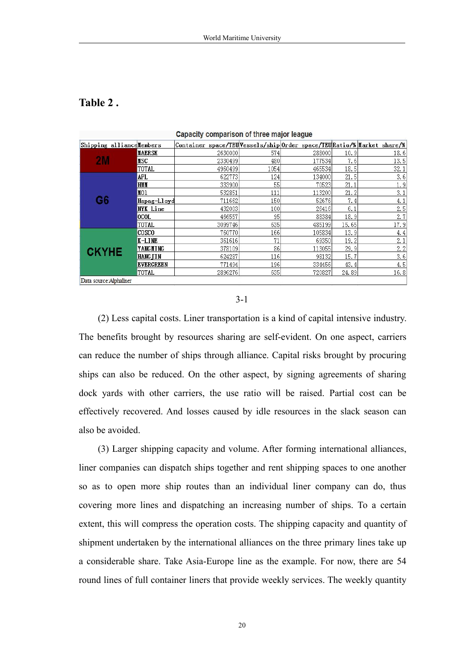#### **Table 2 .**

| Shipping allianceMembers |                  | Container space/TEU Vessels/ship Order space/TEU Ratio/% Market share/% |      |        |       |      |
|--------------------------|------------------|-------------------------------------------------------------------------|------|--------|-------|------|
|                          | <b>MAERSK</b>    | 2630000                                                                 | 574  | 288000 | 10.9  | 18.6 |
| <b>2M</b>                | <b>NSC</b>       | 2330499                                                                 | 480  | 177534 | 7.6   | 13.5 |
|                          | TOTAL            | 4960499                                                                 | 1054 | 465534 | 18.5  | 32.1 |
|                          | APL.             | 622773                                                                  | 124  | 134000 | 21.5  | 3.6  |
|                          | <b>HMM</b>       | 333900                                                                  | 55   | 70523  | 21.1  | 1.9  |
|                          | MO1              | 532851                                                                  | 111  | 113200 | 21.2  | 3.1  |
| G6                       | Hapag-Lloyd      | 711662                                                                  | 150  | 52676  | 7.4   | 4.1  |
|                          | NYK Line         | 432003                                                                  | 100  | 26416  | 6.1   | 2.5  |
|                          | locol.           | 466557                                                                  | 95   | 88384  | 18.9  | 2.7  |
|                          | <b>TOTAL</b>     | 3099746                                                                 | 635  | 485199 | 15.65 | 17.9 |
|                          | ICOSCO           | 760770                                                                  | 166  | 105834 | 13.9  | 4.4  |
|                          | K-LINE           | 361616                                                                  | 71   | 69350  | 19.2  | 2.1  |
| <b>CKYHE</b>             | YANGMING         | 378109                                                                  | 86   | 113055 | 29.9  | 2.2  |
|                          | <b>HANGTIN</b>   | 624287                                                                  | 116  | 98132  | 15.7  | 3.6  |
|                          | <b>EVERGREEN</b> | 771494                                                                  | 196  | 334456 | 43.4  | 4.5  |
|                          | <b>TOTAL</b>     | 2896276                                                                 | 635  | 720827 | 24.89 | 16.8 |
| Data source: Alphaliner  |                  |                                                                         |      |        |       |      |

Capacity comparison of three major league

3-1

(2) Less capital costs. Liner transportation is a kind of capital intensive industry. The benefits brought by resources sharing are self-evident. On one aspect, carriers can reduce the number of ships through alliance. Capital risks brought by procuring ships can also be reduced. On the other aspect, by signing agreements of sharing dock yards with other carriers, the use ratio will be raised. Partial cost can be effectively recovered. And losses caused by idle resources in the slack season can also be avoided.

(3) Larger shipping capacity and volume. After forming international alliances, liner companies can dispatch ships together and rent shipping spaces to one another so as to open more ship routes than an individual liner company can do, thus covering more lines and dispatching an increasing number of ships. To a certain extent, this will compress the operation costs. The shipping capacity and quantity of shipment undertaken by the international alliances on the three primary lines take up a considerable share. Take Asia-Europe line as the example. For now, there are 54 round lines of full container liners that provide weekly services. The weekly quantity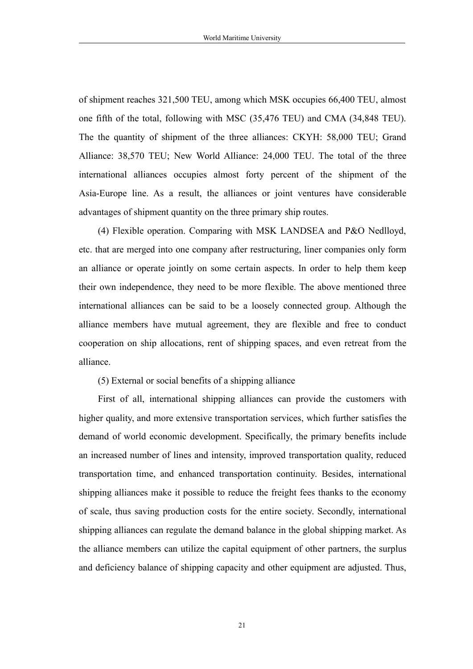of shipment reaches 321,500 TEU, among which MSK occupies 66,400 TEU, almost one fifth of the total, following with MSC (35,476 TEU) and CMA (34,848 TEU). The the quantity of shipment of the three alliances: CKYH: 58,000 TEU; Grand Alliance: 38,570 TEU; New World Alliance: 24,000 TEU. The total of the three international alliances occupies almost forty percent of the shipment of the Asia-Europe line. As a result, the alliances or joint ventures have considerable advantages of shipment quantity on the three primary ship routes.

(4) Flexible operation. Comparing with MSK LANDSEA and P&O Nedlloyd, etc. that are merged into one company after restructuring, liner companies only form an alliance or operate jointly on some certain aspects. In order to help them keep their own independence, they need to be more flexible.The above mentioned three international alliances can be said to be a loosely connected group. Although the alliance members have mutual agreement, they are flexible and free to conduct cooperation on ship allocations, rent of shipping spaces, and even retreat from the alliance.

(5) External or social benefits of a shipping alliance

First of all, international shipping alliances can provide the customers with higher quality, and more extensive transportation services, which further satisfies the demand of world economic development. Specifically, the primary benefits include an increased number of lines and intensity, improved transportation quality, reduced transportation time, and enhanced transportation continuity.Besides, international shipping alliances make it possible to reduce the freight fees thanks to the economy of scale, thus saving production costs for the entire society. Secondly, international shipping alliances can regulate the demand balance in the global shipping market. As the alliance members can utilize the capital equipment of other partners, the surplus and deficiency balance of shipping capacity and other equipment are adjusted. Thus,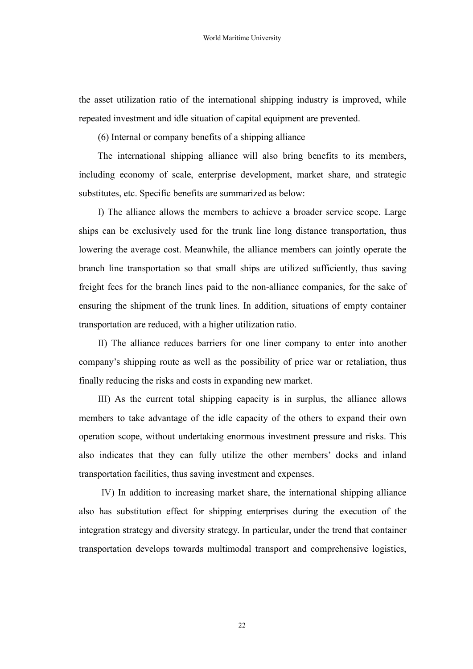the asset utilization ratio of the international shipping industry is improved, while repeated investment and idle situation of capital equipment are prevented.

 $(6)$  Internal or company benefits of a shipping alliance

The international shipping alliance will also bring benefits to its members, including economy of scale, enterprise development, market share, and strategic substitutes, etc. Specific benefits are summarized as below:

I) The alliance allows the members to achieve a broader service scope. Large ships can be exclusively used for the trunk line long distance transportation, thus lowering the average cost. Meanwhile, the alliance members can jointly operate the branch line transportation so that small ships are utilized sufficiently, thus saving freight fees for the branch lines paid to the non-alliance companies, for the sake of ensuring the shipment of the trunk lines. In addition, situations of empty container transportation are reduced, with a higher utilization ratio.

II) The alliance reduces barriers for one liner company to enter into another company's shipping route as well as the possibility of price war or retaliation, thus finally reducing the risks and costs in expanding new market.

III) As the current total shipping capacity is in surplus, the alliance allows members to take advantage of the idle capacity of the others to expand their own operation scope, without undertaking enormous investment pressure and risks. This also indicates that they can fully utilize the other members' docks and inland transportation facilities, thus saving investment and expenses.

IV) In addition to increasing market share, the international shipping alliance also has substitution effect for shipping enterprises during the execution of the integration strategy and diversity strategy. In particular, under the trend that container transportation develops towards multimodal transport and comprehensive logistics,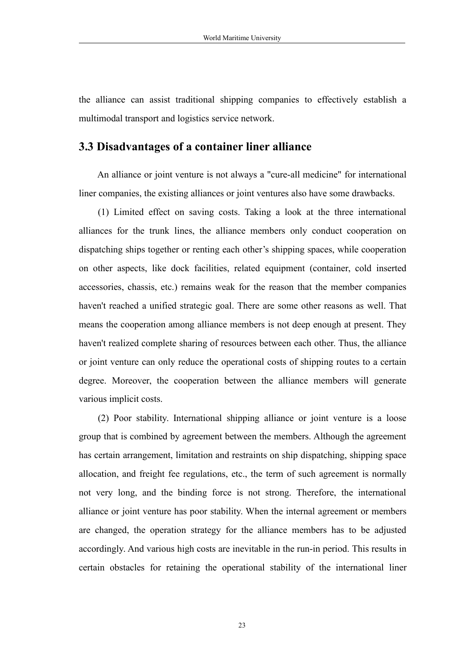<span id="page-23-0"></span>the alliance can assist traditional shipping companies to effectively establish a multimodal transport and logistics service network.

#### **3.3 Disadvantages ofa container liner alliance**

An alliance or joint venture is not always a "cure-all medicine" for international liner companies, the existing alliances or joint ventures also have some drawbacks.

(1) Limited effect on saving costs. Taking a look at the three international alliances for the trunk lines, the alliance members only conduct cooperation on dispatching ships together or renting each other's shipping spaces, while cooperation on other aspects, like dock facilities, related equipment (container, cold inserted accessories, chassis, etc.) remains weak for the reason that the member companies haven't reached a unified strategic goal. There are some other reasons as well. That means the cooperation among alliance members is not deep enough at present. They haven't realized complete sharing of resources between each other. Thus, the alliance or joint venture can only reduce the operational costs of shipping routes to a certain degree. Moreover, the cooperation between the alliance members will generate various implicit costs.

(2) Poor stability. International shipping alliance or joint venture is a loose group that is combined by agreement between the members. Although the agreement has certain arrangement, limitation and restraints on ship dispatching, shipping space allocation, and freight fee regulations, etc., the term of such agreement is normally not very long, and the binding force is not strong. Therefore, the international alliance or joint venture has poor stability. When the internal agreement or members are changed, the operation strategy for the alliance members has to be adjusted accordingly. And various high costs are inevitable in the run-in period. This results in certain obstacles for retaining the operational stability of the international liner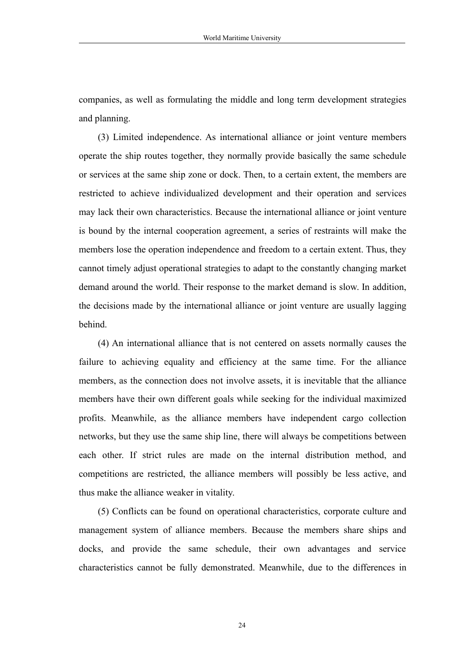companies, as well as formulating the middle and long term development strategies and planning.

(3) Limited independence. As international alliance or joint venture members operate the ship routes together, they normally provide basically the same schedule or services at the same ship zone or dock. Then, to a certain extent, the members are restricted to achieve individualized development and their operation and services may lack their own characteristics. Because the international alliance or joint venture is bound by the internal cooperation agreement, a series of restraints will make the members lose the operation independence and freedom to a certain extent. Thus, they cannot timely adjust operational strategies to adapt to the constantly changing market demand around the world. Their response to the market demand is slow. In addition, the decisions made by the international alliance or joint venture are usually lagging behind.

(4) An international alliance that is not centered on assets normally causes the failure to achieving equality and efficiency at the same time. For the alliance members, as the connection does not involve assets, it is inevitable that the alliance members have their own different goals while seeking for the individual maximized profits. Meanwhile, as the alliance members have independent cargo collection networks, but they use the same ship line, there will always be competitions between each other. If strict rules are made on the internal distribution method, and competitions are restricted, the alliance members will possibly be less active, and thus make the alliance weaker in vitality.

(5) Conflicts can be found on operational characteristics, corporate culture and management system of alliance members. Because the members share ships and docks, and provide the same schedule, their own advantages and service characteristics cannot be fully demonstrated. Meanwhile, due to the differences in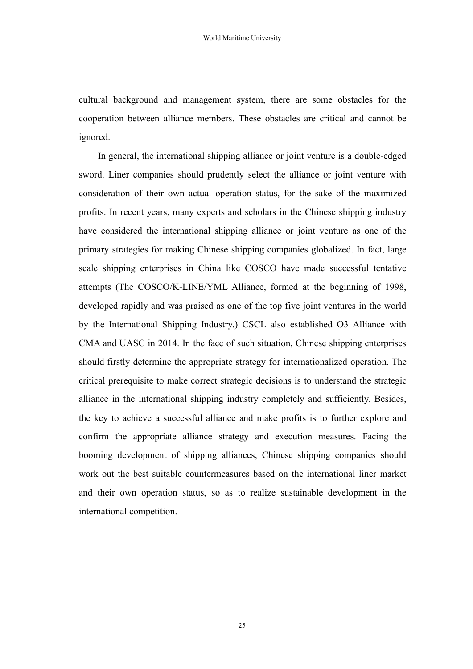cultural background and management system, there are some obstacles for the cooperation between alliance members. These obstacles are critical and cannot be ignored.

In general, the international shipping alliance or joint venture is a double-edged sword. Liner companies should prudently select the alliance or joint venture with consideration of their own actual operation status, for the sake of the maximized profits. In recent years, many experts and scholars in the Chinese shipping industry have considered the international shipping alliance or joint venture as one of the primary strategies for making Chinese shipping companies globalized. In fact, large scale shipping enterprises in China like COSCO have made successful tentative attempts (The COSCO/K-LINE/YML Alliance, formed at the beginning of 1998, developed rapidly and was praised as one of the top five joint ventures in the world by the International Shipping Industry.) CSCL also established O3 Alliance with CMA and UASC in 2014. In the face of such situation, Chinese shipping enterprises should firstly determine the appropriate strategy for internationalized operation. The critical prerequisite to make correct strategic decisions is to understand the strategic alliance in the international shipping industry completely and sufficiently. Besides, the key to achieve a successful alliance and make profits is to further explore and confirm the appropriate alliance strategy and execution measures. Facing the booming development of shipping alliances, Chinese shipping companies should work out the best suitable countermeasures based on the international liner market and their own operation status, so as to realize sustainable development in the international competition.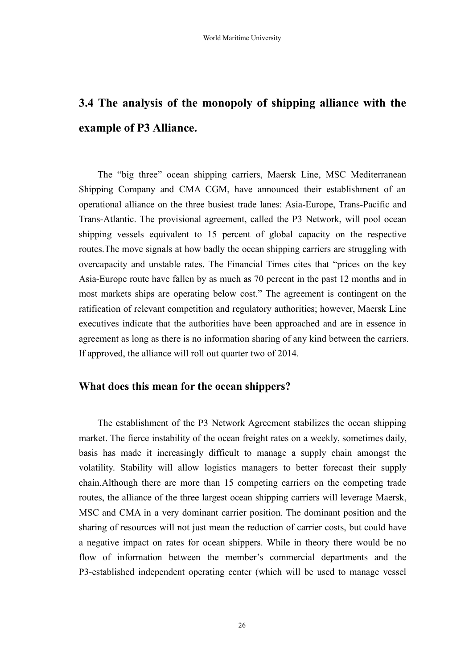## <span id="page-26-0"></span>**3.4 The analysis of the monopoly of shipping alliance with the example of P3 Alliance.**

The "big three" ocean shipping carriers, Maersk Line, MSC Mediterranean Shipping Company and CMA CGM, have announced their establishment of an operational alliance on the three busiest trade lanes: Asia-Europe, Trans-Pacific and Trans-Atlantic. The provisional agreement, called the P3 Network, will pool [ocean](http://www.shiplilly.com/ocean-freight.php) [shipping](http://www.shiplilly.com/ocean-freight.php) vessels equivalent to 15 percent of global capacity on the respective routes.The move signals at how badly the ocean shipping carriers are struggling with overcapacity and unstable rates. The Financial Times cites that "prices on the key Asia-Europe route have fallen by as much as 70 percent in the past 12 months and in most markets ships are operating below cost." The agreement is contingent on the ratification of relevant competition and regulatory authorities; however, Maersk Line executives indicate that the authorities have been approached and are in essence in agreement as long as there is no information sharing of any kind between the carriers. If approved, the alliance will roll out quarter two of 2014.

#### **What does this mean for the ocean shippers?**

The establishment of the P3 Network Agreement stabilizes the ocean shipping market. The fierce instability of the ocean freight rates on a weekly, sometimes daily, basis has made it increasingly difficult to manage a supply chain amongst the volatility. Stability will allow logistics managers to better forecast their supply chain.Although there are more than 15 competing carriers on the competing trade routes, the alliance of the three largest ocean shipping carriers will leverage Maersk, MSC and CMA in a very dominant carrier position. The dominant position and the sharing of resources will not just mean the reduction of carrier costs, but could have a negative impact on rates for ocean shippers. While in theory there would be no flow of information between the member's commercial departments and the P3-established independent operating center (which will be used to manage vessel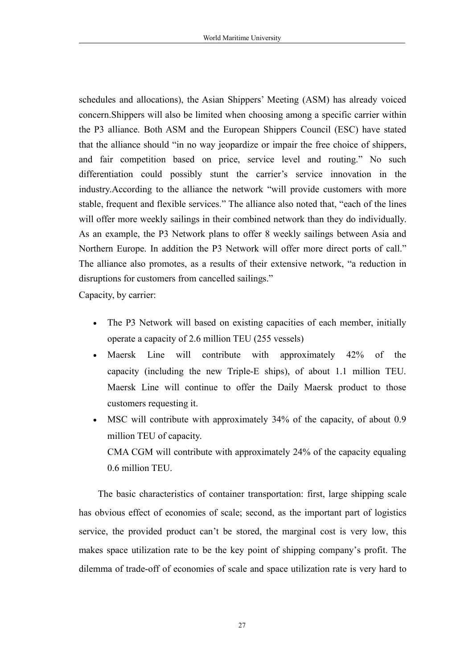schedules and allocations), the Asian Shippers' Meeting (ASM) has already voiced concern.Shippers will also be limited when choosing among a specific carrier within the P3 alliance. Both ASM and the European Shippers Council (ESC) have stated that the alliance should "in no way jeopardize or impair the free choice of shippers, and fair competition based on price, service level and routing." No such differentiation could possibly stunt the carrier's service innovation in the industry.According to the alliance the network "will provide customers with more stable, frequent and flexible services." The alliance also noted that, "each of the lines will offer more weekly sailings in their combined network than they do individually. As an example, the P3 Network plans to offer 8 weekly sailings between Asia and Northern Europe. In addition the P3 Network will offer more direct ports of call." The alliance also promotes, as a results of their extensive network, "a reduction in disruptions for customers from cancelled sailings."

Capacity, by carrier:

- The P3 Network will based on existing capacities of each member, initially operate a capacity of 2.6 million TEU (255 vessels)
- Maersk Line will contribute with approximately 42% of the capacity (including the new Triple-E ships), of about 1.1 million TEU. Maersk Line will continue to offer the Daily Maersk product to those customers requesting it.
- MSC will contribute with approximately 34% of the capacity, of about 0.9 million TEU of capacity. CMA CGM will contribute with approximately 24% of the capacity equaling 0.6 million TEU.

The basic characteristics of container transportation: first, large shipping scale has obvious effect of economies of scale; second, as the important part of logistics service, the provided product can't be stored, the marginal cost is very low, this makes space utilization rate to be the key point of shipping company's profit. The dilemma of trade-off of economies of scale and space utilization rate is very hard to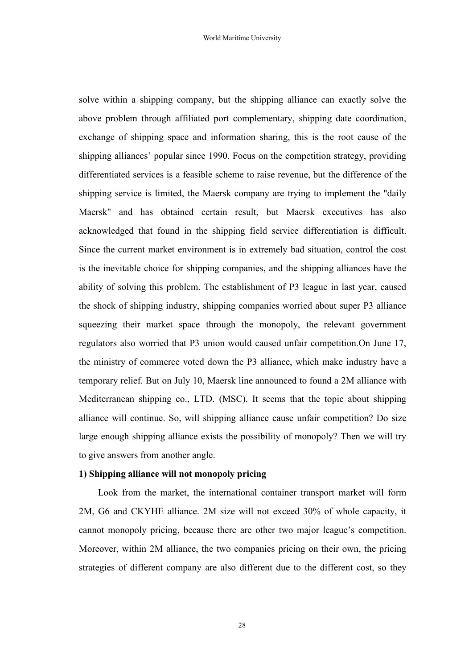solve within a shipping company, but the shipping alliance can exactly solve the above problem through affiliated port complementary, shipping date coordination, exchange of shipping space and information sharing, this is the root cause of the shipping alliances' popular since 1990. Focus on the competition strategy, providing differentiated services is a feasible scheme to raise revenue, but the difference of the shipping service is limited, the Maersk company are trying to implement the "daily" Maersk" and has obtained certain result, but Maersk executives has also acknowledged that found in the shipping field service differentiation is difficult. Since the current market environment is in extremely bad situation, control the cost is the inevitable choice for shipping companies, and the shipping alliances have the ability of solving this problem. The establishment of P3 league in last year, caused the shock of shipping industry, shipping companies worried about super P3 alliance squeezing their market space through the monopoly, the relevant government regulators also worried that P3 union would caused unfair competition.On June 17, the ministry of commerce voted down the P3 alliance, which make industry have a temporary relief. But on July 10, Maersk line announced to found a 2M alliance with Mediterranean shipping co., LTD. (MSC). It seems that the topic about shipping alliance will continue. So, will shipping alliance cause unfair competition? Do size large enough shipping alliance exists the possibility of monopoly? Then we will try to give answers from another angle.

#### **1) Shipping alliance will not monopoly pricing**

Look from the market, the international container transport market will form 2M, G6 and CKYHE alliance. 2M size will not exceed 30% of whole capacity, it cannot monopoly pricing, because there are other two major league's competition. Moreover, within 2M alliance, the two companies pricing on their own, the pricing strategies of different company are also different due to the different cost, so they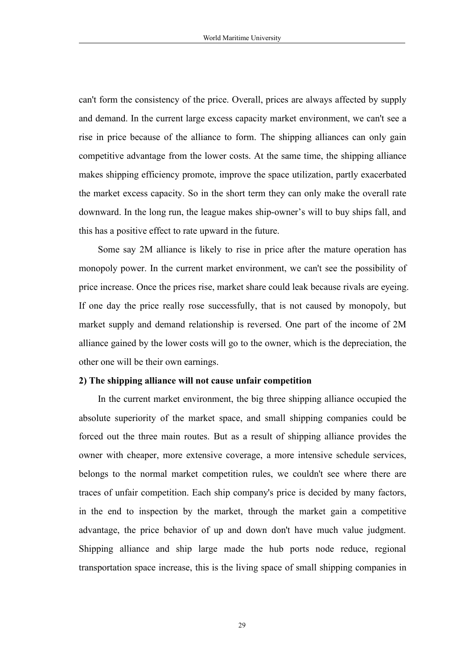can't form the consistency of the price. Overall, prices are always affected by supply and demand. In the current large excess capacity market environment, we can't see a rise in price because of the alliance to form. The shipping alliances can only gain competitive advantage from the lower costs. At the same time, the shipping alliance makes shipping efficiency promote, improve the space utilization, partly exacerbated the market excess capacity. So in the short term they can only make the overall rate downward. In the long run, the league makes ship-owner's will to buy ships fall, and this has a positive effect to rate upward in the future.

Some say 2M alliance is likely to rise in price after the mature operation has monopoly power. In the current market environment, we can't see the possibility of price increase. Once the prices rise, market share could leak because rivals are eyeing. If one day the price really rose successfully, that is not caused by monopoly, but market supply and demand relationship is reversed. One part of the income of 2M alliance gained by the lower costs will go to the owner, which is the depreciation, the other one will be their own earnings.

#### **2) The shipping alliance will not cause unfair competition**

In the current market environment, the big three shipping alliance occupied the absolute superiority of the market space, and small shipping companies could be forced out the three main routes. But as a result of shipping alliance provides the owner with cheaper, more extensive coverage, a more intensive schedule services, belongs to the normal market competition rules, we couldn't see where there are traces of unfair competition. Each ship company's price is decided by many factors, in the end to inspection by the market, through the market gain a competitive advantage, the price behavior of up and down don't have much value judgment. Shipping alliance and ship large made the hub ports node reduce, regional transportation space increase, this is the living space of small shipping companies in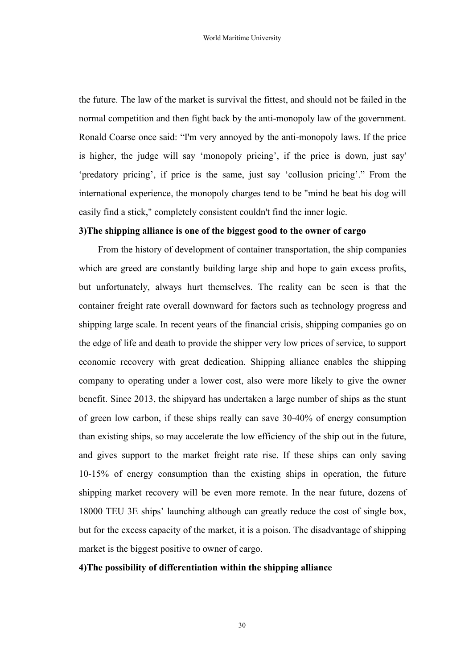the future. The law of the market is survival the fittest, and should not be failed in the normal competition and then fight back by the anti-monopoly law of the government. Ronald Coarse once said: "I'm very annoyed by the anti-monopoly laws. If the price is higher, the judge will say 'monopoly pricing', if the price is down, just say' 'predatory pricing', if price is the same, just say 'collusion pricing'." From the international experience, the monopoly charges tend to be "mind he beat his dog will easily find a stick," completely consistent couldn't find the inner logic.

#### **3)The shipping alliance is one of the biggest good tothe owner of cargo**

From the history of development of container transportation, the ship companies which are greed are constantly building large ship and hope to gain excess profits, but unfortunately, always hurt themselves. The reality can be seen is that the container freight rate overall downward for factors such as technology progress and shipping large scale. In recent years of the financial crisis, shipping companies go on the edge of life and death to provide the shipper very low prices of service, to support economic recovery with great dedication. Shipping alliance enables the shipping company to operating under a lower cost, also were more likely to give the owner benefit. Since 2013, the shipyard has undertaken a large number of ships as the stunt of green low carbon, if these ships really can save 30-40% of energy consumption than existing ships, so may accelerate the low efficiency of the ship out in the future, and gives support to the market freight rate rise. If these ships can only saving 10-15% of energy consumption than the existing ships in operation, the future shipping market recovery will be even more remote. In the near future, dozens of 18000 TEU 3E ships' launching although can greatly reduce the cost of single box, but for the excess capacity of the market, it is a poison. The disadvantage of shipping market is the biggest positive to owner of cargo.

#### **4)The possibility of differentiation within the shipping alliance**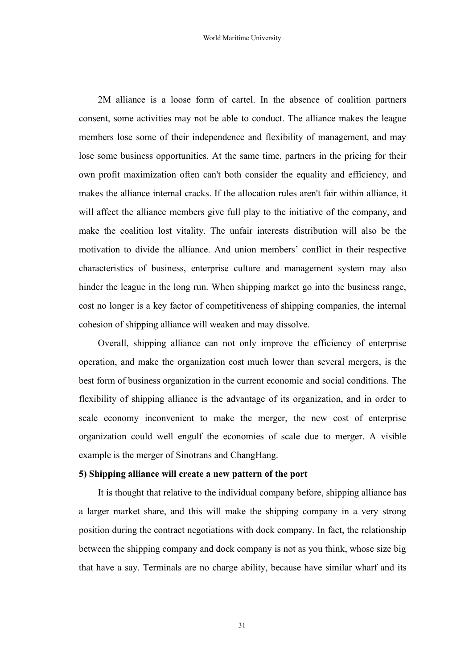2M alliance is a loose form of cartel. In the absence of coalition partners consent, some activities may not be able to conduct. The alliance makes the league members lose some of their independence and flexibility of management, and may lose some business opportunities. At the same time, partners in the pricing for their own profit maximization often can't both consider the equality and efficiency, and makes the alliance internal cracks. If the allocation rules aren't fair within alliance, it will affect the alliance members give full play to the initiative of the company, and make the coalition lost vitality. The unfair interests distribution will also be the motivation to divide the alliance. And union members' conflict in their respective characteristics of business, enterprise culture and management system may also hinder the league in the long run. When shipping market go into the business range, cost no longer is a key factor of competitiveness of shipping companies, the internal cohesion of shipping alliance will weaken and may dissolve.

Overall, shipping alliance can not only improve the efficiency of enterprise operation, and make the organization cost much lower than several mergers, is the best form of business organization in the current economic and social conditions. The flexibility of shipping alliance is the advantage of its organization, and in order to scale economy inconvenient to make the merger, the new cost of enterprise organization could well engulf the economies of scale due to merger. A visible example is the merger of Sinotrans and ChangHang.

#### **5) Shipping alliance will create a new pattern of the port**

It is thought that relative to the individual company before, shipping alliance has a larger market share, and this will make the shipping company in a very strong position during the contract negotiations with dock company. In fact, the relationship between the shipping company and dock company is not as you think, whose size big that have a say. Terminals are no charge ability, because have similar wharf and its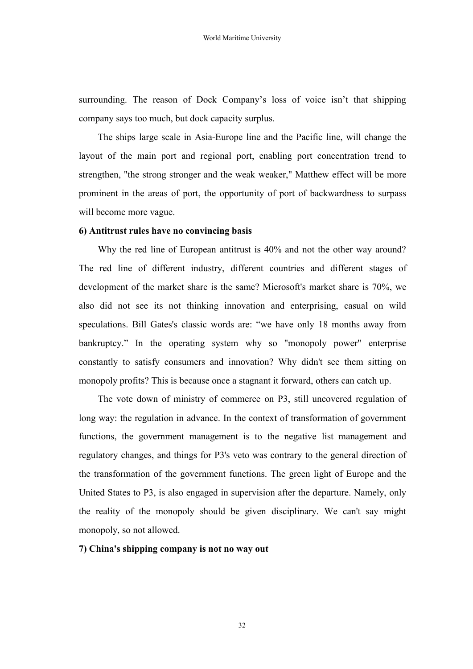surrounding. The reason of Dock Company's loss of voice isn't that shipping company says too much, butdock capacity surplus.

The ships large scale in Asia-Europe line and the Pacific line, will change the layout of the main port and regional port, enabling port concentration trend to strengthen, "the strong stronger and the weak weaker," Matthew effect will be more prominent in the areas of port, the opportunity of port of backwardness to surpass will become more vague.

#### **6) Antitrust rules have no convincing basis**

Why the red line of European antitrust is 40% and not the other way around? The red line of different industry, different countries and different stages of development of the market share is the same? Microsoft's market share is 70%, we also did not see its not thinking innovation and enterprising, casual on wild speculations. Bill Gates's classic words are: "we have only 18 months away from bankruptcy." In the operating system why so "monopoly power" enterprise constantly to satisfy consumers and innovation? Why didn't see them sitting on monopoly profits? This is because once a stagnant it forward, others can catch up.

The vote down of ministry of commerce on P3, still uncovered regulation of long way: the regulation in advance. In the context of transformation of government functions, the government management is to the negative list management and regulatory changes, and things for P3's veto was contrary to the general direction of the transformation of the government functions. The green light of Europe and the United States to P3, is also engaged in supervision after the departure. Namely, only the reality of the monopoly should be given disciplinary. We can't say might monopoly, so not allowed.

**7) China's shipping company is not no way out**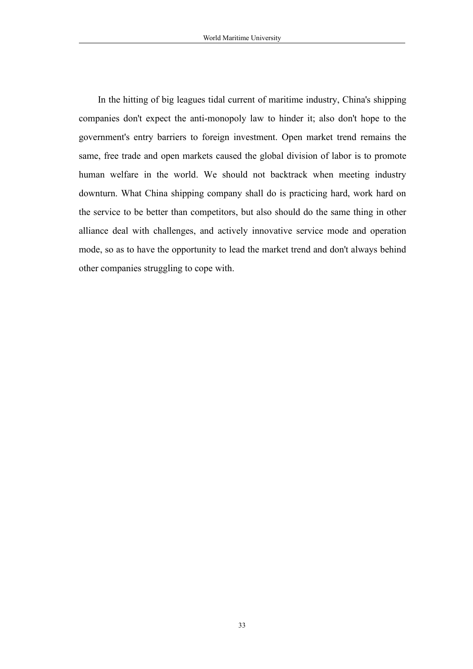In the hitting of big leagues tidal current of maritime industry, China's shipping companies don't expect the anti-monopoly law to hinder it; also don't hope to the government's entry barriers to foreign investment. Open market trend remains the same, free trade and open markets caused the global division of labor is to promote human welfare in the world. We should not backtrack when meeting industry downturn. What China shipping company shall do is practicing hard, work hard on the service to be better than competitors, but also should do the same thing in other alliance deal with challenges, and actively innovative service mode and operation mode, so as to have the opportunity to lead the market trend and don't always behind other companies struggling to cope with.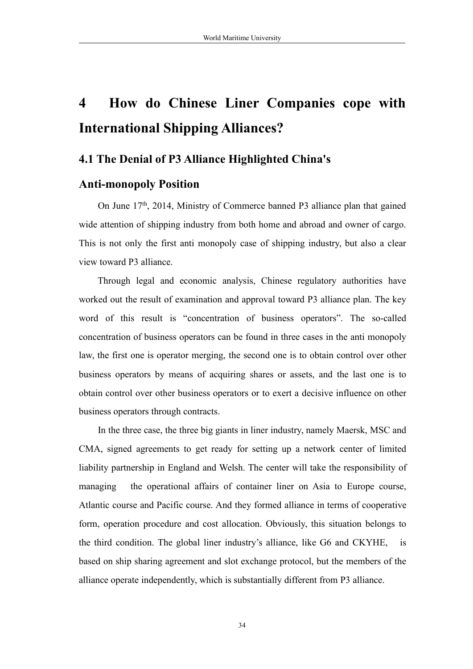## <span id="page-34-0"></span>**4 How do Chinese Liner Companies cope with International Shipping Alliances?**

#### **4.1 The Denial of P3 Alliance Highlighted China's**

#### **Anti-monopoly Position**

On June 17<sup>th</sup>, 2014, Ministry of Commerce banned P3 alliance plan that gained wide attention of shipping industry from both home and abroad and owner of cargo. This is not only the first anti monopoly case of shipping industry, but also a clear view toward P3 alliance.

Through legal and economic analysis, Chinese regulatory authorities have worked out the result of examination and approval toward P3 alliance plan. The key word of this result is "concentration of business operators". The so-called concentration of business operators can be found in three cases in the anti monopoly law, the first one is operator merging, the second one is to obtain control over other business operators by means of acquiring shares or assets, and the last one is to obtain control over other business operators orto exert a decisive influence on other business operators through contracts.

In the three case, the three big giants in liner industry, namely Maersk, MSC and CMA, signed agreements to get ready for setting up a network center of limited liability partnership in England and Welsh. The center will take the responsibility of managing the operational affairs of container liner on Asia to Europe course, Atlantic course and Pacific course. And they formed alliance in terms of cooperative form, operation procedure and cost allocation. Obviously, this situation belongs to the third condition. The global liner industry's alliance, like G6 and CKYHE, is based on ship sharing agreement and slot exchange protocol, but the members of the alliance operate independently, which is substantially different from P3 alliance.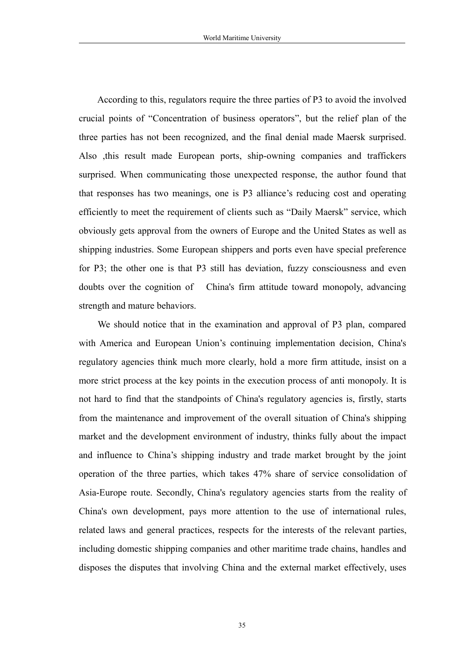According to this, regulators require the three parties of P3 to avoid the involved crucial points of "Concentration of business operators", but the relief plan of the three parties has not been recognized, and the final denial made Maersk surprised. Also ,this result made European ports, ship-owning companies and traffickers surprised. When communicating those unexpected response, the author found that that responses has two meanings, one is P3 alliance's reducing cost and operating efficiently to meet the requirement of clients such as "Daily Maersk" service, which obviously gets approval from the owners of Europe and the United States as well as shipping industries. Some European shippers and ports even have special preference for P3; the other one is that P3 still has deviation, fuzzy consciousness and even doubts over the cognition of China's firm attitude toward monopoly, advancing strength and mature behaviors.

We should notice that in the examination and approval of P3 plan, compared with America and European Union's continuing implementation decision, China's regulatory agencies think much more clearly, hold a more firm attitude, insist on a more strict process at the key points in the execution process of anti monopoly. It is not hard to find that the standpoints of China's regulatory agencies is, firstly, starts from the maintenance and improvement of the overall situation of China's shipping market and the development environment of industry, thinks fully about the impact and influence to China's shipping industry and trade market brought by the joint operation of the three parties, which takes 47% share of service consolidation of Asia-Europe route. Secondly, China's regulatory agencies starts from the reality of China's own development, pays more attention to the use of international rules, related laws and general practices, respects for the interests of the relevant parties, including domestic shipping companies and other maritime trade chains, handles and disposes the disputes that involving China and the external market effectively, uses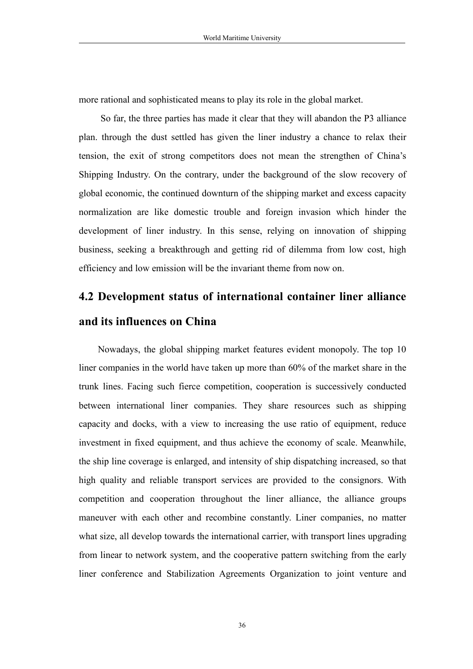<span id="page-36-0"></span>more rational and sophisticated means to play its role in the global market.

So far, the three parties has made it clear that they will abandon the P3 alliance plan. through the dust settled has given the liner industry a chance to relax their tension, the exit of strong competitors does not mean the strengthen of China's Shipping Industry. On the contrary, under the background of the slow recovery of global economic, the continued downturn of the shipping market and excess capacity normalization are like domestic trouble and foreign invasion which hinder the development of liner industry. In this sense, relying on innovation of shipping business, seeking a breakthrough and getting rid of dilemma from low cost, high efficiency and low emission will be the invariant theme from now on.

## **4.2 Development status of international container liner alliance and its influences on China**

Nowadays, the global shipping market features evident monopoly. The top 10 liner companies in the world have taken up more than 60% of the market share in the trunk lines. Facing such fierce competition, cooperation is successively conducted between international liner companies. They share resources such as shipping capacity and docks, with a view to increasing the use ratio of equipment, reduce investment in fixed equipment, and thus achieve the economy of scale. Meanwhile, the ship line coverage is enlarged, and intensity of ship dispatching increased, so that high quality and reliable transport services are provided to the consignors. With competition and cooperation throughout the liner alliance, the alliance groups maneuver with each other and recombine constantly. Liner companies, no matter what size, all develop towards the international carrier, with transport lines upgrading from linear to network system, and the cooperative pattern switching from the early liner conference and Stabilization Agreements Organization to joint venture and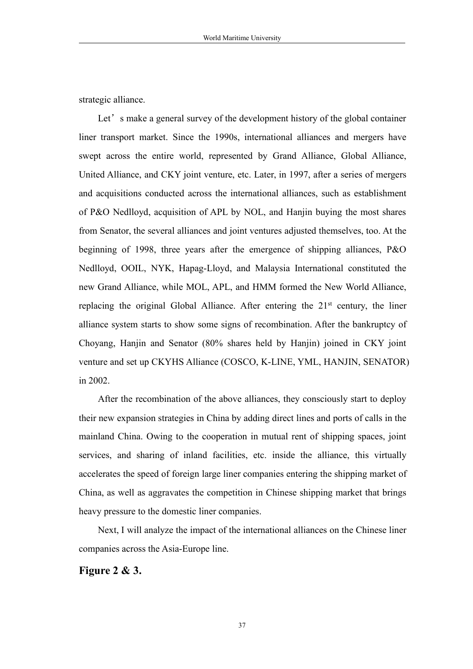strategic alliance.

Let's make a general survey of the development history of the global container liner transport market. Since the 1990s, international alliances and mergers have swept across the entire world, represented by Grand Alliance, Global Alliance, United Alliance, and CKY joint venture, etc. Later, in 1997, after a series of mergers and acquisitions conducted across the international alliances, such as establishment of P&O Nedlloyd, acquisition of APL by NOL, and Hanjin buying the most shares from Senator, the several alliances and joint ventures adjusted themselves, too. At the beginning of 1998, three years after the emergence of shipping alliances, P&O Nedlloyd, OOIL, NYK, Hapag-Lloyd, and Malaysia International constituted the new Grand Alliance, while MOL, APL, and HMM formed the New World Alliance, replacing the original Global Alliance. After entering the  $21<sup>st</sup>$  century, the liner alliance system starts to show some signs of recombination. After the bankruptcy of Choyang, Hanjin and Senator (80% shares held by Hanjin) joined in CKY joint venture and setup CKYHS Alliance (COSCO, K-LINE, YML, HANJIN, SENATOR) in 2002.

After the recombination of the above alliances, they consciously start to deploy their new expansion strategies in China by adding direct lines and ports of calls in the mainland China. Owing to the cooperation in mutual rent of shipping spaces, joint services, and sharing of inland facilities, etc. inside the alliance, this virtually accelerates the speed of foreign large liner companies entering the shipping market of China, as well as aggravates the competition in Chinese shipping market that brings heavy pressure to the domestic liner companies.

Next, I will analyze the impact of the international alliances on the Chinese liner companies across the Asia-Europe line.

**Figure 2 & 3.**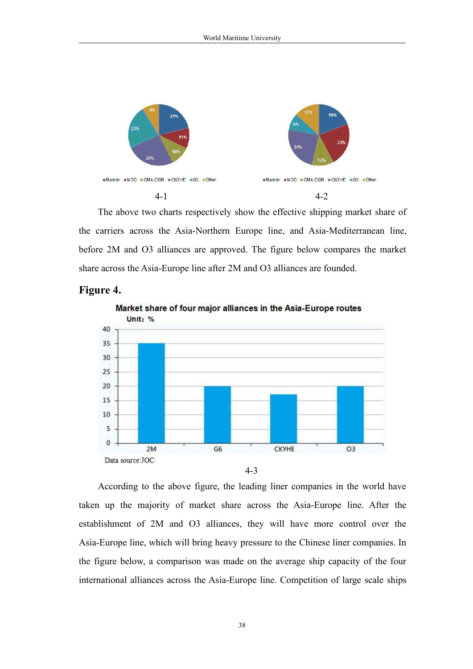

The above two charts respectively show the effective shipping market share of the carriers across the Asia-Northern Europe line, and Asia-Mediterranean line, before 2M and O3 alliances are approved. The figure below compares the market share across the Asia-Europe line after2M and O3 alliances are founded.



#### **Figure 4.**

According to the above figure, the leading liner companies in the world have taken up the majority of market share across the Asia-Europe line. After the establishment of 2M and O3 alliances, they will have more control over the Asia-Europe line, which will bring heavy pressure to the Chinese liner companies. In the figure below, a comparison was made on the average ship capacity of the four international alliances across the Asia-Europe line. Competition of large scale ships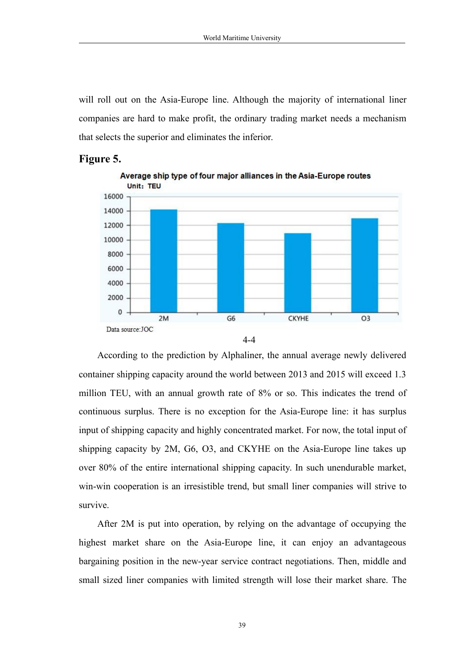will roll out on the Asia-Europe line. Although the majority of international liner companies are hard to make profit, the ordinary trading market needs a mechanism that selects the superior and eliminates the inferior.

#### **Figure 5.**







According to the prediction by Alphaliner, the annual average newly delivered container shipping capacity around the world between 2013 and 2015 will exceed 1.3 million TEU, with an annual growth rate of 8% or so. This indicates the trend of continuous surplus. There is no exception for the Asia-Europe line: ithas surplus input of shipping capacity and highly concentrated market. For now, the total input of shipping capacity by 2M, G6, O3, and CKYHE on the Asia-Europe line takes up over 80% of the entire international shipping capacity. In such unendurable market, win-win cooperation is an irresistible trend, but small liner companies will strive to survive.

After 2M is put into operation, by relying on the advantage of occupying the highest market share on the Asia-Europe line, it can enjoy an advantageous bargaining position in the new-year service contract negotiations. Then, middle and small sized liner companies with limited strength will lose their market share. The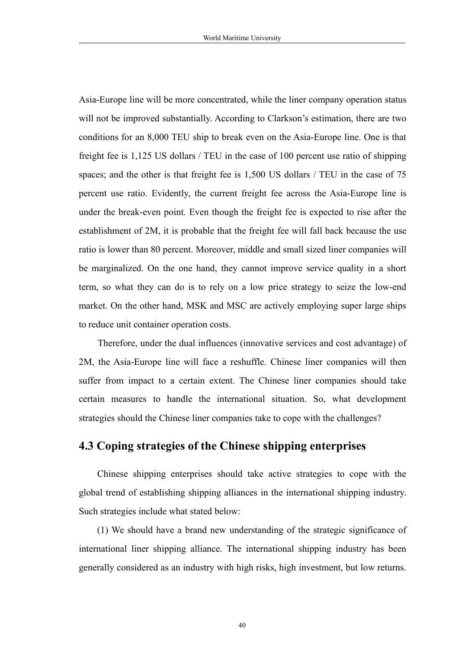<span id="page-40-0"></span>Asia-Europe line will be more concentrated, while the liner company operation status will not be improved substantially. According to Clarkson's estimation, there are two conditions for an 8,000 TEU ship to break even on the Asia-Europe line. One isthat freight fee is 1,125 US dollars / TEU in the case of 100 percent use ratio of shipping spaces; and the other is that freight fee is 1,500 US dollars / TEU in the case of 75 percent use ratio. Evidently, the current freight fee across the Asia-Europe line is under the break-even point. Even though the freight fee is expected to rise after the establishment of 2M, it is probable that the freight fee will fall back because the use ratio is lower than 80 percent. Moreover, middle and small sized liner companies will be marginalized. On the one hand, they cannot improve service quality in a short term, so what they can do is to rely on a low price strategy to seize the low-end market. On the other hand, MSK and MSC are actively employing super large ships to reduce unit container operation costs.

Therefore, under the dual influences (innovative services and cost advantage) of 2M, the Asia-Europe line will face a reshuffle. Chinese liner companies will then suffer from impact to a certain extent. The Chinese liner companies should take certain measures to handle the international situation. So, what development strategies should the Chinese liner companies take to cope with the challenges?

#### **4.3 Coping strategies ofthe Chinese shipping enterprises**

Chinese shipping enterprises should take active strategies to cope with the global trend of establishing shipping alliances in the international shipping industry. Such strategies include what stated below:

(1) We should have a brand new understanding of the strategic significance of international liner shipping alliance. The international shipping industry has been generally considered as an industry with high risks, high investment, but low returns.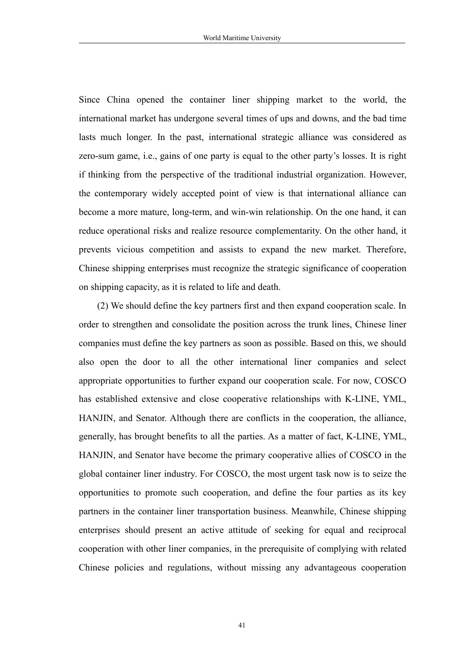Since China opened the container liner shipping market to the world, the international market has undergone several times of ups and downs, and the bad time lasts much longer. In the past, international strategic alliance was considered as zero-sum game, i.e., gains of one party is equal to the other party's losses. It is right if thinking from the perspective of the traditional industrial organization. However, the contemporary widely accepted point of view is that international alliance can become a more mature, long-term, and win-win relationship. On the one hand, it can reduce operational risks and realize resource complementarity. On the other hand, it prevents vicious competition and assists to expand the new market. Therefore, Chinese shipping enterprises must recognize the strategic significance of cooperation on shipping capacity, as it is related to life and death.

(2) We should define the key partners first and then expand cooperation scale. In order to strengthen and consolidate the position across the trunk lines, Chinese liner companies must define the key partners as soon as possible. Based on this, we should also open the door to all the other international liner companies and select appropriate opportunities to further expand our cooperation scale. For now, COSCO has established extensive and close cooperative relationships with K-LINE, YML, HANJIN, and Senator. Although there are conflicts in the cooperation, the alliance, generally, has brought benefits to all the parties. As a matter of fact, K-LINE, YML, HANJIN, and Senator have become the primary cooperative allies of COSCO in the global container liner industry. For COSCO, the most urgent task now is to seize the opportunities to promote such cooperation, and define the four parties as its key partners in the container liner transportation business. Meanwhile, Chinese shipping enterprises should present an active attitude of seeking for equal and reciprocal cooperation with other liner companies, in the prerequisite of complying with related Chinese policies and regulations, without missing any advantageous cooperation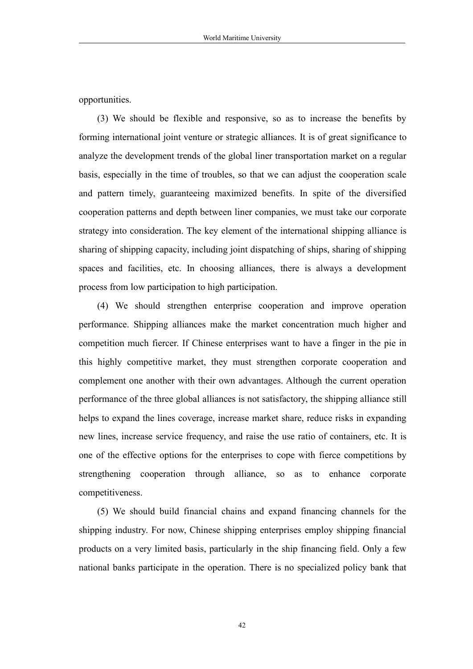opportunities.

(3) We should be flexible and responsive, so as to increase the benefits by forming international joint venture or strategic alliances. It is of great significance to analyze the development trends of the global liner transportation market on a regular basis, especially in the time of troubles, so that we can adjust the cooperation scale and pattern timely, guaranteeing maximized benefits. In spite of the diversified cooperation patterns and depth between liner companies, we must take our corporate strategy into consideration. The key element of the international shipping alliance is sharing of shipping capacity, including joint dispatching of ships, sharing of shipping spaces and facilities, etc. In choosing alliances, there is always a development process from low participation to high participation.

(4) We should strengthen enterprise cooperation and improve operation performance. Shipping alliances make the market concentration much higher and competition much fiercer. If Chinese enterprises want to have a finger in the pie in this highly competitive market, they must strengthen corporate cooperation and complement one another with their own advantages. Although the current operation performance of the three global alliances is not satisfactory, the shipping alliance still helps to expand the lines coverage, increase market share, reduce risks in expanding new lines, increase service frequency, and raise the use ratio of containers, etc. It is one of the effective options for the enterprises to cope with fierce competitions by strengthening cooperation through alliance, so as to enhance corporate competitiveness.

(5) We should build financial chains and expand financing channels for the shipping industry. For now, Chinese shipping enterprises employ shipping financial products on a very limited basis, particularly in the ship financing field. Only a few national banks participate in the operation. There is no specialized policy bank that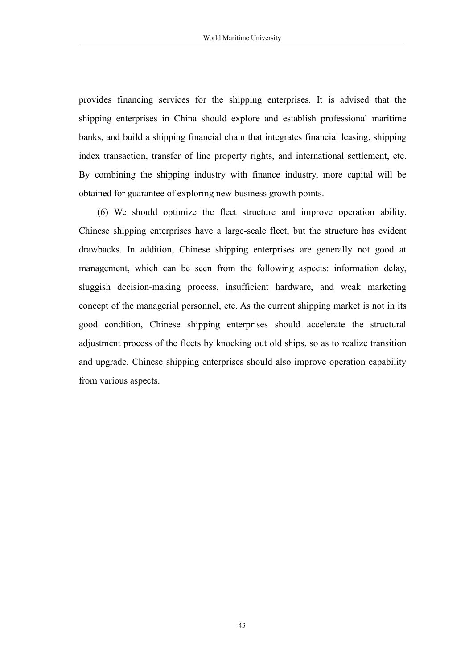provides financing services for the shipping enterprises. It is advised that the shipping enterprises in China should explore and establish professional maritime banks, and build a shipping financial chain that integrates financial leasing, shipping index transaction, transfer of line property rights, and international settlement, etc. By combining the shipping industry with finance industry, more capital will be obtained for guarantee of exploring new business growth points.

(6) We should optimize the fleet structure and improve operation ability. Chinese shipping enterprises have a large-scale fleet, but the structure has evident drawbacks. In addition, Chinese shipping enterprises are generally not good at management, which can be seen from the following aspects: information delay, sluggish decision-making process, insufficient hardware, and weak marketing concept of the managerial personnel, etc. As the current shipping market is not in its good condition, Chinese shipping enterprises should accelerate the structural adjustment process of the fleets by knocking out old ships, so as to realize transition and upgrade. Chinese shipping enterprises should also improve operation capability from various aspects.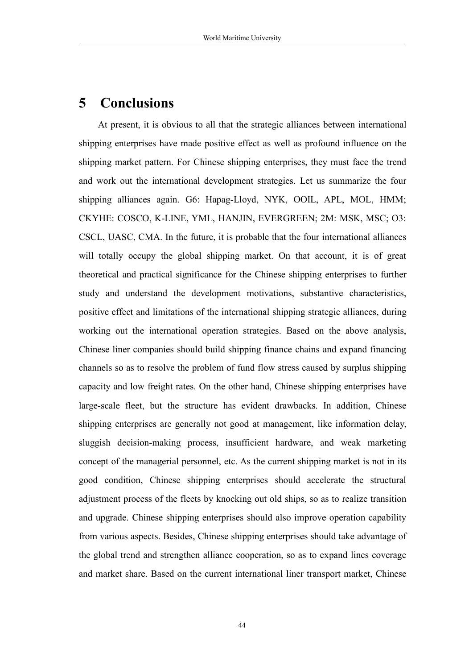### <span id="page-44-0"></span>**5 Conclusions**

At present, it is obvious to all that the strategic alliances between international shipping enterprises have made positive effect as well as profound influence on the shipping market pattern. For Chinese shipping enterprises, they must face the trend and work out the international development strategies. Let us summarize the four shipping alliances again. G6: Hapag-Lloyd, NYK, OOIL, APL, MOL, HMM; CKYHE: COSCO, K-LINE, YML, HANJIN, EVERGREEN; 2M: MSK, MSC; O3: CSCL, UASC, CMA. In the future, it is probable that the four international alliances will totally occupy the global shipping market. On that account, it is of great theoretical and practical significance for the Chinese shipping enterprises to further study and understand the development motivations, substantive characteristics, positive effect and limitations of the international shipping strategic alliances, during working out the international operation strategies. Based on the above analysis, Chinese liner companies should build shipping finance chains and expand financing channels so as to resolve the problem of fund flow stress caused by surplus shipping capacity and low freight rates. On the other hand, Chinese shipping enterprises have large-scale fleet, but the structure has evident drawbacks. In addition, Chinese shipping enterprises are generally not good at management, like information delay, sluggish decision-making process, insufficient hardware, and weak marketing concept of the managerial personnel, etc. As the current shipping market is not in its good condition,Chinese shipping enterprises should accelerate the structural adjustment process of the fleets by knocking out old ships, so as to realize transition and upgrade. Chinese shipping enterprises should also improve operation capability from various aspects. Besides, Chinese shipping enterprises should take advantage of the global trend and strengthen alliance cooperation, so as to expand lines coverage and market share. Based on the current international liner transport market, Chinese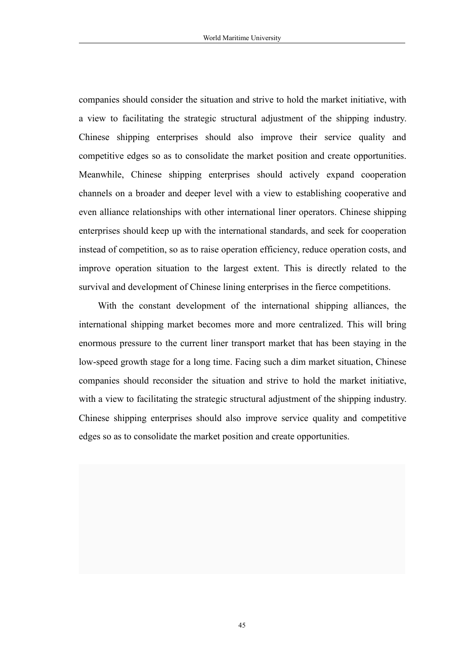companies should consider the situation and strive to hold the market initiative, with a view to facilitating the strategic structural adjustment of the shipping industry. Chinese shipping enterprises should also improve their service quality and competitive edges so as to consolidate the market position and create opportunities. Meanwhile, Chinese shipping enterprises should actively expand cooperation channels on a broader and deeper level with a view to establishing cooperative and even alliance relationships with other international liner operators. Chinese shipping enterprises should keep up with the international standards, and seek for cooperation instead of competition, so as to raise operation efficiency, reduce operation costs, and improve operation situation to the largest extent. This is directly related to the survival and development of Chinese lining enterprises in the fierce competitions.

With the constant development of the international shipping alliances, the international shipping market becomes more and more centralized. This will bring enormous pressure to the current liner transport market that has been staying in the low-speed growth stage for a long time. Facing such a dim market situation, Chinese companies should reconsider the situation and strive to hold the market initiative, with a view to facilitating the strategic structural adjustment of the shipping industry. Chinese shipping enterprises should also improve service quality and competitive edges so as to consolidate the market position and create opportunities.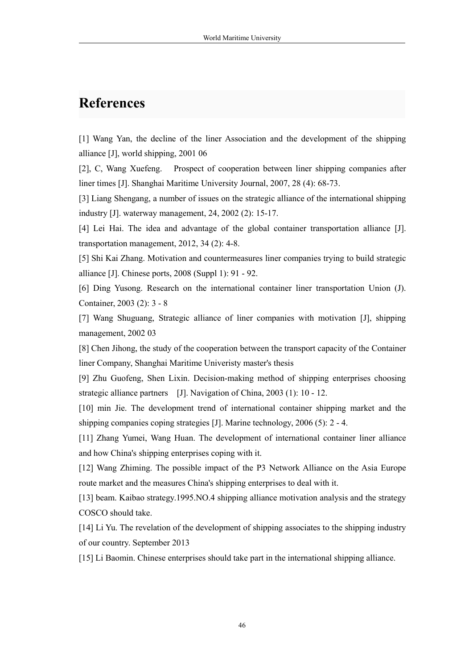### <span id="page-46-0"></span>**References**

[1] Wang Yan, the decline of the liner Association and the development of the shipping alliance [J], world shipping, 2001 06

[2], C, Wang Xuefeng. Prospect of cooperation between liner shipping companies after liner times [J]. Shanghai Maritime University Journal, 2007, 28 (4): 68-73.

[3] Liang Shengang, a number of issues on the strategic alliance of the international shipping industry [J]. waterway management, 24, 2002 (2): 15-17.

[4] Lei Hai. The idea and advantage of the global container transportation alliance [J]. transportation management, 2012, 34 (2): 4-8.

[5] Shi Kai Zhang. Motivation and countermeasures liner companies trying to build strategic alliance [J]. Chinese ports, 2008 (Suppl 1):91 - 92.

[6] Ding Yusong. Research on the international container liner transportation Union (J). Container, 2003 (2): 3 - 8

[7] Wang Shuguang, Strategic alliance of liner companies with motivation [J], shipping management, 2002 03

[8] Chen Jihong, the study of the cooperation between the transport capacity of the Container liner Company, Shanghai Maritime Univeristy master's thesis

[9] Zhu Guofeng, Shen Lixin. Decision-making method of shipping enterprises choosing strategic alliance partners [J]. Navigation of China, 2003 (1): 10 - 12.

[10] min Jie. The development trend of international container shipping market and the shipping companies coping strategies [J]. Marine technology, 2006 (5): 2 - 4.

[11] Zhang Yumei, Wang Huan. The development of international container liner alliance and how China's shipping enterprises coping with it.

[12] Wang Zhiming. The possible impact of the P3 Network Alliance on the Asia Europe route market and the measures China's shipping enterprises to deal with it.

[13] beam. Kaibao strategy.1995.NO.4 shipping alliance motivation analysis and the strategy COSCO should take.

[14] Li Yu. The revelation of the development of shipping associates to the shipping industry of our country. September 2013

[15] Li Baomin. Chinese enterprises should take part in the international shipping alliance.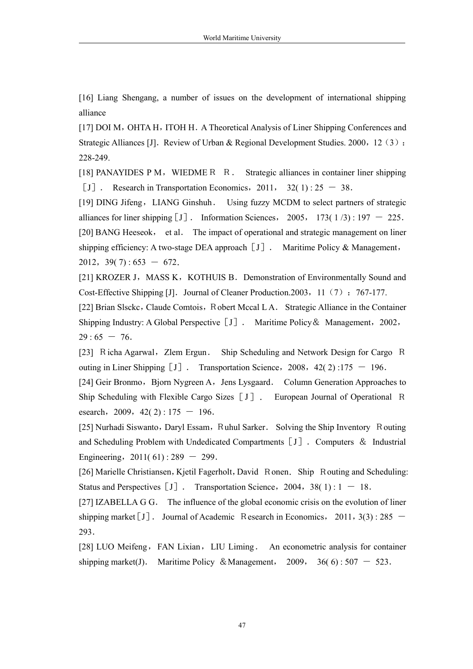[16] Liang Shengang, a number of issues on the development of international shipping alliance

[17] DOI M, OHTA H, ITOH H. A Theoretical Analysis of Liner Shipping Conferences and Strategic Alliances [J]. Review of Urban & Regional Development Studies. 2000, 12 (3): 228-249.

[18] PANAYIDES P M, WIEDME R R. Strategic alliances in container liner shipping [J]. Research in Transportation Economics,  $2011$ ,  $32(1)$ :  $25 - 38$ .

[19] DING Jifeng, LIANG Ginshuh. Using fuzzy MCDM to select partners of strategic alliances for liner shipping  $[J]$ . Information Sciences, 2005, 173(1/3): 197 - 225. [20] BANG Heeseok, et al. The impact of operational and strategic management on liner shipping efficiency: A two-stage DEA approach  $[J]$ . Maritime Policy & Management, 2012,  $39(7)$ : 653 - 672.

[21] KROZER J, MASS K, KOTHUIS B. Demonstration of Environmentally Sound and Cost-Effective Shipping [J]. Journal of Cleaner Production. 2003, 11 (7): 767-177.

[22] Brian Slsckc, Claude Comtois, Robert Mccal L A. Strategic Alliance in the Container Shipping Industry: A Global Perspective [J]. Maritime Policy & Management, 2002,  $29:65 - 76.$ 

[23] Richa Agarwal, Zlem Ergun. Ship Scheduling and Network Design for Cargo R outing in Liner Shipping  $[J]$ . Transportation Science, 2008, 42(2) :175 - 196.

[24] Geir Bronmo, Bjorn Nygreen A, Jens Lysgaard. Column Generation Approaches to Ship Scheduling with Flexible Cargo Sizes[J]. European Journal of Operational R esearch, 2009,  $42( 2)$  : 175 - 196.

[25] Nurhadi Siswanto, Daryl Essam, Ruhul Sarker. Solving the Ship Inventory Routing and Scheduling Problem with Undedicated Compartments [J]. Computers & Industrial Engineering,  $2011(61)$ : 289 - 299.

[26] Marielle Christiansen, Kjetil Fagerholt, David Ronen. Ship Routing and Scheduling: Status and Perspectives  $[J]$ . Transportation Science, 2004, 38(1): 1 - 18.

[27] IZABELLA G G. The influence of the global economic crisis on the evolution of liner shipping market [J]. Journal of Academic Research in Economics, 2011, 3(3): 285  $-$ 293.

[28] LUO Meifeng, FAN Lixian, LIU Liming. An econometric analysis for container shipping market(J). Maritime Policy & Management, 2009, 36(6):  $507 - 523$ .